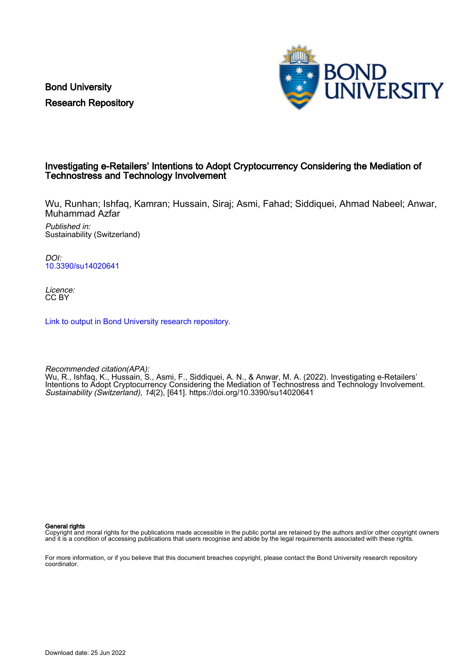Bond University Research Repository



# Investigating e-Retailers' Intentions to Adopt Cryptocurrency Considering the Mediation of Technostress and Technology Involvement

Wu, Runhan; Ishfaq, Kamran; Hussain, Siraj; Asmi, Fahad; Siddiquei, Ahmad Nabeel; Anwar, Muhammad Azfar

Published in: Sustainability (Switzerland)

DOI: [10.3390/su14020641](https://doi.org/10.3390/su14020641)

Licence: CC BY

[Link to output in Bond University research repository.](https://research.bond.edu.au/en/publications/d068c8fe-dc89-4204-80f1-9125de7a1a19)

Recommended citation(APA): Wu, R., Ishfaq, K., Hussain, S., Asmi, F., Siddiquei, A. N., & Anwar, M. A. (2022). Investigating e-Retailers' Intentions to Adopt Cryptocurrency Considering the Mediation of Technostress and Technology Involvement. Sustainability (Switzerland), 14(2), [641].<https://doi.org/10.3390/su14020641>

General rights

Copyright and moral rights for the publications made accessible in the public portal are retained by the authors and/or other copyright owners and it is a condition of accessing publications that users recognise and abide by the legal requirements associated with these rights.

For more information, or if you believe that this document breaches copyright, please contact the Bond University research repository coordinator.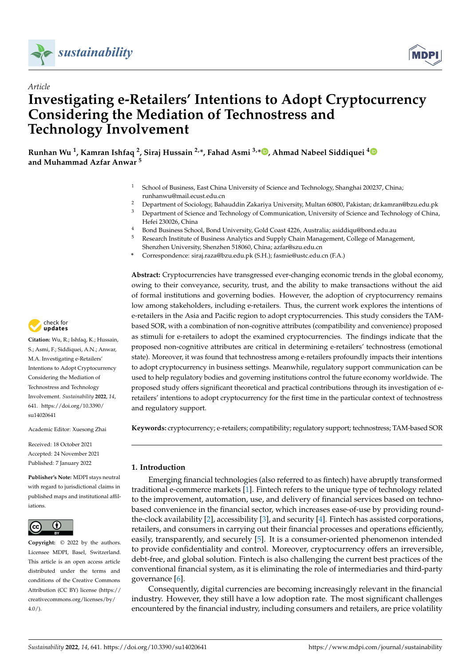

*Article*



# **Investigating e-Retailers' Intentions to Adopt Cryptocurrency Considering the Mediation of Technostress and Technology Involvement**

**Runhan Wu <sup>1</sup> , Kamran Ishfaq <sup>2</sup> , Siraj Hussain 2,\*, Fahad Asmi 3,[\\*](https://orcid.org/0000-0002-3260-4277) , Ahmad Nabeel Siddiquei [4](https://orcid.org/0000-0002-1209-5401) and Muhammad Azfar Anwar <sup>5</sup>**

- <sup>1</sup> School of Business, East China University of Science and Technology, Shanghai 200237, China; runhanwu@mail.ecust.edu.cn
- <sup>2</sup> Department of Sociology, Bahauddin Zakariya University, Multan 60800, Pakistan; dr.kamran@bzu.edu.pk<br><sup>3</sup> Department of Science and Technology of Communication, University of Science and Technology of China
- <sup>3</sup> Department of Science and Technology of Communication, University of Science and Technology of China, Hefei 230026, China
- <sup>4</sup> Bond Business School, Bond University, Gold Coast 4226, Australia; asiddiqu@bond.edu.au<br><sup>5</sup> Besearch Institute of Business Apelytics and Supply Chain Management, College of Management
- <sup>5</sup> Research Institute of Business Analytics and Supply Chain Management, College of Management, Shenzhen University, Shenzhen 518060, China; azfar@szu.edu.cn
- **\*** Correspondence: siraj.raza@bzu.edu.pk (S.H.); fasmie@ustc.edu.cn (F.A.)

**Abstract:** Cryptocurrencies have transgressed ever-changing economic trends in the global economy, owing to their conveyance, security, trust, and the ability to make transactions without the aid of formal institutions and governing bodies. However, the adoption of cryptocurrency remains low among stakeholders, including e-retailers. Thus, the current work explores the intentions of e-retailers in the Asia and Pacific region to adopt cryptocurrencies. This study considers the TAMbased SOR, with a combination of non-cognitive attributes (compatibility and convenience) proposed as stimuli for e-retailers to adopt the examined cryptocurrencies. The findings indicate that the proposed non-cognitive attributes are critical in determining e-retailers' technostress (emotional state). Moreover, it was found that technostress among e-retailers profoundly impacts their intentions to adopt cryptocurrency in business settings. Meanwhile, regulatory support communication can be used to help regulatory bodies and governing institutions control the future economy worldwide. The proposed study offers significant theoretical and practical contributions through its investigation of eretailers' intentions to adopt cryptocurrency for the first time in the particular context of technostress and regulatory support.

**Keywords:** cryptocurrency; e-retailers; compatibility; regulatory support; technostress; TAM-based SOR

# <span id="page-1-0"></span>**1. Introduction**

Emerging financial technologies (also referred to as fintech) have abruptly transformed traditional e-commerce markets [\[1\]](#page-17-0). Fintech refers to the unique type of technology related to the improvement, automation, use, and delivery of financial services based on technobased convenience in the financial sector, which increases ease-of-use by providing roundthe-clock availability [\[2\]](#page-17-1), accessibility [\[3\]](#page-17-2), and security [\[4\]](#page-17-3). Fintech has assisted corporations, retailers, and consumers in carrying out their financial processes and operations efficiently, easily, transparently, and securely [\[5\]](#page-17-4). It is a consumer-oriented phenomenon intended to provide confidentiality and control. Moreover, cryptocurrency offers an irreversible, debt-free, and global solution. Fintech is also challenging the current best practices of the conventional financial system, as it is eliminating the role of intermediaries and third-party governance [\[6\]](#page-17-5).

Consequently, digital currencies are becoming increasingly relevant in the financial industry. However, they still have a low adoption rate. The most significant challenges encountered by the financial industry, including consumers and retailers, are price volatility



**Citation:** Wu, R.; Ishfaq, K.; Hussain, S.; Asmi, F.; Siddiquei, A.N.; Anwar, M.A. Investigating e-Retailers' Intentions to Adopt Cryptocurrency Considering the Mediation of Technostress and Technology Involvement. *Sustainability* **2022**, *14*, 641. [https://doi.org/10.3390/](https://doi.org/10.3390/su14020641) [su14020641](https://doi.org/10.3390/su14020641)

Academic Editor: Xuesong Zhai

Received: 18 October 2021 Accepted: 24 November 2021 Published: 7 January 2022

**Publisher's Note:** MDPI stays neutral with regard to jurisdictional claims in published maps and institutional affiliations.



**Copyright:** © 2022 by the authors. Licensee MDPI, Basel, Switzerland. This article is an open access article distributed under the terms and conditions of the Creative Commons Attribution (CC BY) license [\(https://](https://creativecommons.org/licenses/by/4.0/) [creativecommons.org/licenses/by/](https://creativecommons.org/licenses/by/4.0/)  $4.0/$ ).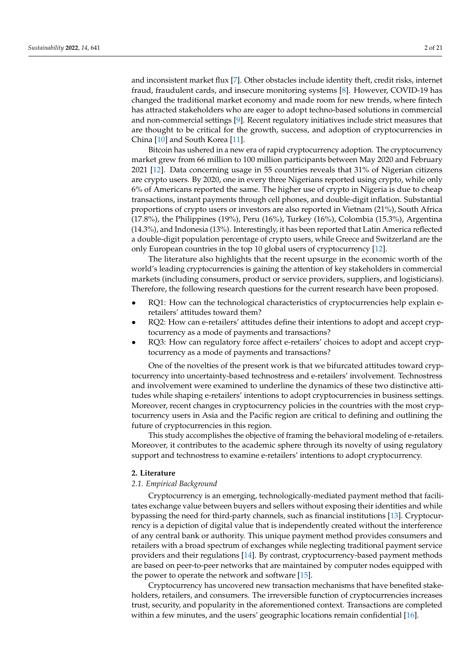and inconsistent market flux [\[7\]](#page-17-6). Other obstacles include identity theft, credit risks, internet fraud, fraudulent cards, and insecure monitoring systems [\[8\]](#page-17-7). However, COVID-19 has changed the traditional market economy and made room for new trends, where fintech has attracted stakeholders who are eager to adopt techno-based solutions in commercial and non-commercial settings [\[9\]](#page-17-8). Recent regulatory initiatives include strict measures that are thought to be critical for the growth, success, and adoption of cryptocurrencies in China [\[10\]](#page-17-9) and South Korea [\[11\]](#page-17-10).

Bitcoin has ushered in a new era of rapid cryptocurrency adoption. The cryptocurrency market grew from 66 million to 100 million participants between May 2020 and February 2021 [\[12\]](#page-17-11). Data concerning usage in 55 countries reveals that 31% of Nigerian citizens are crypto users. By 2020, one in every three Nigerians reported using crypto, while only 6% of Americans reported the same. The higher use of crypto in Nigeria is due to cheap transactions, instant payments through cell phones, and double-digit inflation. Substantial proportions of crypto users or investors are also reported in Vietnam (21%), South Africa (17.8%), the Philippines (19%), Peru (16%), Turkey (16%), Colombia (15.3%), Argentina (14.3%), and Indonesia (13%). Interestingly, it has been reported that Latin America reflected a double-digit population percentage of crypto users, while Greece and Switzerland are the only European countries in the top 10 global users of cryptocurrency [\[12\]](#page-17-11).

The literature also highlights that the recent upsurge in the economic worth of the world's leading cryptocurrencies is gaining the attention of key stakeholders in commercial markets (including consumers, product or service providers, suppliers, and logisticians). Therefore, the following research questions for the current research have been proposed.

- RQ1: How can the technological characteristics of cryptocurrencies help explain eretailers' attitudes toward them?
- RQ2: How can e-retailers' attitudes define their intentions to adopt and accept cryptocurrency as a mode of payments and transactions?
- RQ3: How can regulatory force affect e-retailers' choices to adopt and accept cryptocurrency as a mode of payments and transactions?

One of the novelties of the present work is that we bifurcated attitudes toward cryptocurrency into uncertainty-based technostress and e-retailers' involvement. Technostress and involvement were examined to underline the dynamics of these two distinctive attitudes while shaping e-retailers' intentions to adopt cryptocurrencies in business settings. Moreover, recent changes in cryptocurrency policies in the countries with the most cryptocurrency users in Asia and the Pacific region are critical to defining and outlining the future of cryptocurrencies in this region.

This study accomplishes the objective of framing the behavioral modeling of e-retailers. Moreover, it contributes to the academic sphere through its novelty of using regulatory support and technostress to examine e-retailers' intentions to adopt cryptocurrency.

## **2. Literature**

## *2.1. Empirical Background*

Cryptocurrency is an emerging, technologically-mediated payment method that facilitates exchange value between buyers and sellers without exposing their identities and while bypassing the need for third-party channels, such as financial institutions [\[13\]](#page-17-12). Cryptocurrency is a depiction of digital value that is independently created without the interference of any central bank or authority. This unique payment method provides consumers and retailers with a broad spectrum of exchanges while neglecting traditional payment service providers and their regulations [\[14\]](#page-17-13). By contrast, cryptocurrency-based payment methods are based on peer-to-peer networks that are maintained by computer nodes equipped with the power to operate the network and software [\[15\]](#page-17-14).

Cryptocurrency has uncovered new transaction mechanisms that have benefited stakeholders, retailers, and consumers. The irreversible function of cryptocurrencies increases trust, security, and popularity in the aforementioned context. Transactions are completed within a few minutes, and the users' geographic locations remain confidential [\[16\]](#page-17-15).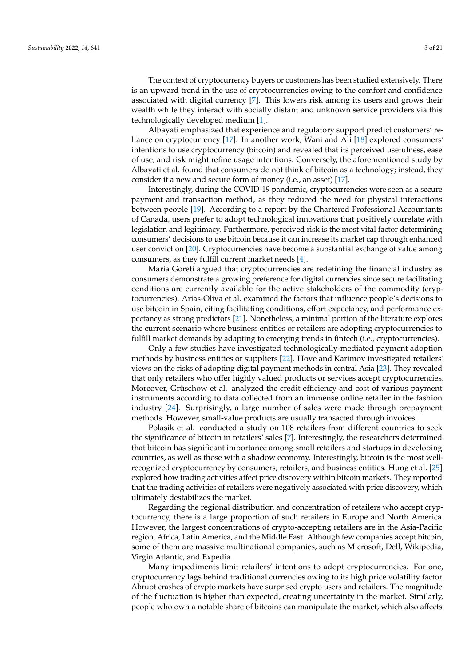The context of cryptocurrency buyers or customers has been studied extensively. There is an upward trend in the use of cryptocurrencies owing to the comfort and confidence associated with digital currency [\[7\]](#page-17-6). This lowers risk among its users and grows their wealth while they interact with socially distant and unknown service providers via this technologically developed medium [\[1\]](#page-17-0).

Albayati emphasized that experience and regulatory support predict customers' reliance on cryptocurrency [\[17\]](#page-18-0). In another work, Wani and Ali [\[18\]](#page-18-1) explored consumers' intentions to use cryptocurrency (bitcoin) and revealed that its perceived usefulness, ease of use, and risk might refine usage intentions. Conversely, the aforementioned study by Albayati et al. found that consumers do not think of bitcoin as a technology; instead, they consider it a new and secure form of money (i.e., an asset) [\[17\]](#page-18-0).

Interestingly, during the COVID-19 pandemic, cryptocurrencies were seen as a secure payment and transaction method, as they reduced the need for physical interactions between people [\[19\]](#page-18-2). According to a report by the Chartered Professional Accountants of Canada, users prefer to adopt technological innovations that positively correlate with legislation and legitimacy. Furthermore, perceived risk is the most vital factor determining consumers' decisions to use bitcoin because it can increase its market cap through enhanced user conviction [\[20\]](#page-18-3). Cryptocurrencies have become a substantial exchange of value among consumers, as they fulfill current market needs [\[4\]](#page-17-3).

Maria Goreti argued that cryptocurrencies are redefining the financial industry as consumers demonstrate a growing preference for digital currencies since secure facilitating conditions are currently available for the active stakeholders of the commodity (cryptocurrencies). Arias-Oliva et al. examined the factors that influence people's decisions to use bitcoin in Spain, citing facilitating conditions, effort expectancy, and performance expectancy as strong predictors [\[21\]](#page-18-4). Nonetheless, a minimal portion of the literature explores the current scenario where business entities or retailers are adopting cryptocurrencies to fulfill market demands by adapting to emerging trends in fintech (i.e., cryptocurrencies).

Only a few studies have investigated technologically-mediated payment adoption methods by business entities or suppliers [\[22\]](#page-18-5). Hove and Karimov investigated retailers' views on the risks of adopting digital payment methods in central Asia [\[23\]](#page-18-6). They revealed that only retailers who offer highly valued products or services accept cryptocurrencies. Moreover, Grüschow et al. analyzed the credit efficiency and cost of various payment instruments according to data collected from an immense online retailer in the fashion industry [\[24\]](#page-18-7). Surprisingly, a large number of sales were made through prepayment methods. However, small-value products are usually transacted through invoices.

Polasik et al. conducted a study on 108 retailers from different countries to seek the significance of bitcoin in retailers' sales [\[7\]](#page-17-6). Interestingly, the researchers determined that bitcoin has significant importance among small retailers and startups in developing countries, as well as those with a shadow economy. Interestingly, bitcoin is the most wellrecognized cryptocurrency by consumers, retailers, and business entities. Hung et al. [\[25\]](#page-18-8) explored how trading activities affect price discovery within bitcoin markets. They reported that the trading activities of retailers were negatively associated with price discovery, which ultimately destabilizes the market.

Regarding the regional distribution and concentration of retailers who accept cryptocurrency, there is a large proportion of such retailers in Europe and North America. However, the largest concentrations of crypto-accepting retailers are in the Asia-Pacific region, Africa, Latin America, and the Middle East. Although few companies accept bitcoin, some of them are massive multinational companies, such as Microsoft, Dell, Wikipedia, Virgin Atlantic, and Expedia.

Many impediments limit retailers' intentions to adopt cryptocurrencies. For one, cryptocurrency lags behind traditional currencies owing to its high price volatility factor. Abrupt crashes of crypto markets have surprised crypto users and retailers. The magnitude of the fluctuation is higher than expected, creating uncertainty in the market. Similarly, people who own a notable share of bitcoins can manipulate the market, which also affects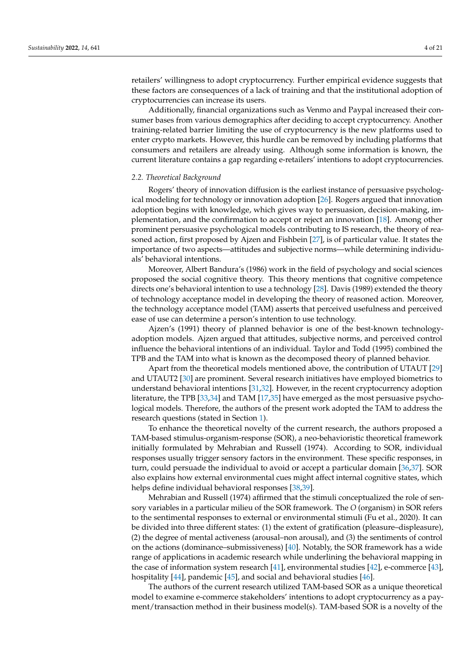retailers' willingness to adopt cryptocurrency. Further empirical evidence suggests that these factors are consequences of a lack of training and that the institutional adoption of cryptocurrencies can increase its users.

Additionally, financial organizations such as Venmo and Paypal increased their consumer bases from various demographics after deciding to accept cryptocurrency. Another training-related barrier limiting the use of cryptocurrency is the new platforms used to enter crypto markets. However, this hurdle can be removed by including platforms that consumers and retailers are already using. Although some information is known, the current literature contains a gap regarding e-retailers' intentions to adopt cryptocurrencies.

## *2.2. Theoretical Background*

Rogers' theory of innovation diffusion is the earliest instance of persuasive psychological modeling for technology or innovation adoption [\[26\]](#page-18-9). Rogers argued that innovation adoption begins with knowledge, which gives way to persuasion, decision-making, implementation, and the confirmation to accept or reject an innovation [\[18\]](#page-18-1). Among other prominent persuasive psychological models contributing to IS research, the theory of reasoned action, first proposed by Ajzen and Fishbein [\[27\]](#page-18-10), is of particular value. It states the importance of two aspects—attitudes and subjective norms—while determining individuals' behavioral intentions.

Moreover, Albert Bandura's (1986) work in the field of psychology and social sciences proposed the social cognitive theory. This theory mentions that cognitive competence directs one's behavioral intention to use a technology [\[28\]](#page-18-11). Davis (1989) extended the theory of technology acceptance model in developing the theory of reasoned action. Moreover, the technology acceptance model (TAM) asserts that perceived usefulness and perceived ease of use can determine a person's intention to use technology.

Ajzen's (1991) theory of planned behavior is one of the best-known technologyadoption models. Ajzen argued that attitudes, subjective norms, and perceived control influence the behavioral intentions of an individual. Taylor and Todd (1995) combined the TPB and the TAM into what is known as the decomposed theory of planned behavior.

Apart from the theoretical models mentioned above, the contribution of UTAUT [\[29\]](#page-18-12) and UTAUT2 [\[30\]](#page-18-13) are prominent. Several research initiatives have employed biometrics to understand behavioral intentions [\[31](#page-18-14)[,32\]](#page-18-15). However, in the recent cryptocurrency adoption literature, the TPB [\[33](#page-18-16)[,34\]](#page-18-17) and TAM [\[17](#page-18-0)[,35\]](#page-18-18) have emerged as the most persuasive psychological models. Therefore, the authors of the present work adopted the TAM to address the research questions (stated in Section [1\)](#page-1-0).

To enhance the theoretical novelty of the current research, the authors proposed a TAM-based stimulus-organism-response (SOR), a neo-behavioristic theoretical framework initially formulated by Mehrabian and Russell (1974). According to SOR, individual responses usually trigger sensory factors in the environment. These specific responses, in turn, could persuade the individual to avoid or accept a particular domain [\[36](#page-18-19)[,37\]](#page-18-20). SOR also explains how external environmental cues might affect internal cognitive states, which helps define individual behavioral responses [\[38](#page-18-21)[,39\]](#page-18-22).

Mehrabian and Russell (1974) affirmed that the stimuli conceptualized the role of sensory variables in a particular milieu of the SOR framework. The *O* (organism) in SOR refers to the sentimental responses to external or environmental stimuli (Fu et al., 2020). It can be divided into three different states: (1) the extent of gratification (pleasure–displeasure), (2) the degree of mental activeness (arousal–non arousal), and (3) the sentiments of control on the actions (dominance–submissiveness) [\[40\]](#page-18-23). Notably, the SOR framework has a wide range of applications in academic research while underlining the behavioral mapping in the case of information system research [\[41\]](#page-18-24), environmental studies [\[42\]](#page-18-25), e-commerce [\[43\]](#page-18-26), hospitality [\[44\]](#page-18-27), pandemic [\[45\]](#page-18-28), and social and behavioral studies [\[46\]](#page-19-0).

The authors of the current research utilized TAM-based SOR as a unique theoretical model to examine e-commerce stakeholders' intentions to adopt cryptocurrency as a payment/transaction method in their business model(s). TAM-based SOR is a novelty of the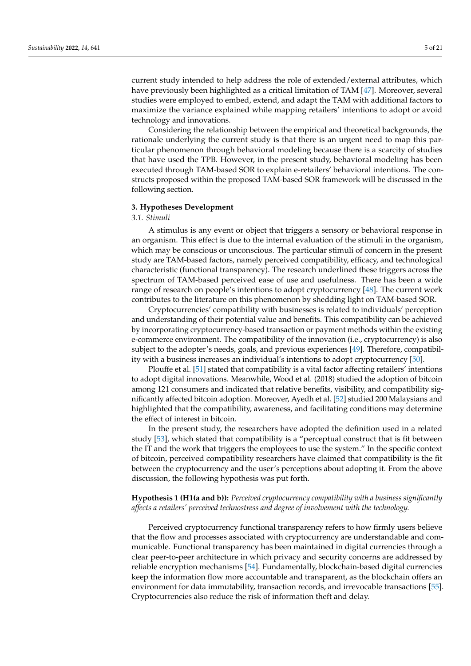current study intended to help address the role of extended/external attributes, which have previously been highlighted as a critical limitation of TAM [\[47\]](#page-19-1). Moreover, several studies were employed to embed, extend, and adapt the TAM with additional factors to maximize the variance explained while mapping retailers' intentions to adopt or avoid technology and innovations.

Considering the relationship between the empirical and theoretical backgrounds, the rationale underlying the current study is that there is an urgent need to map this particular phenomenon through behavioral modeling because there is a scarcity of studies that have used the TPB. However, in the present study, behavioral modeling has been executed through TAM-based SOR to explain e-retailers' behavioral intentions. The constructs proposed within the proposed TAM-based SOR framework will be discussed in the following section.

## <span id="page-5-0"></span>**3. Hypotheses Development**

#### *3.1. Stimuli*

A stimulus is any event or object that triggers a sensory or behavioral response in an organism. This effect is due to the internal evaluation of the stimuli in the organism, which may be conscious or unconscious. The particular stimuli of concern in the present study are TAM-based factors, namely perceived compatibility, efficacy, and technological characteristic (functional transparency). The research underlined these triggers across the spectrum of TAM-based perceived ease of use and usefulness. There has been a wide range of research on people's intentions to adopt cryptocurrency [\[48\]](#page-19-2). The current work contributes to the literature on this phenomenon by shedding light on TAM-based SOR.

Cryptocurrencies' compatibility with businesses is related to individuals' perception and understanding of their potential value and benefits. This compatibility can be achieved by incorporating cryptocurrency-based transaction or payment methods within the existing e-commerce environment. The compatibility of the innovation (i.e., cryptocurrency) is also subject to the adopter's needs, goals, and previous experiences [\[49\]](#page-19-3). Therefore, compatibility with a business increases an individual's intentions to adopt cryptocurrency [\[50\]](#page-19-4).

Plouffe et al. [\[51\]](#page-19-5) stated that compatibility is a vital factor affecting retailers' intentions to adopt digital innovations. Meanwhile, Wood et al. (2018) studied the adoption of bitcoin among 121 consumers and indicated that relative benefits, visibility, and compatibility significantly affected bitcoin adoption. Moreover, Ayedh et al. [\[52\]](#page-19-6) studied 200 Malaysians and highlighted that the compatibility, awareness, and facilitating conditions may determine the effect of interest in bitcoin.

In the present study, the researchers have adopted the definition used in a related study [\[53\]](#page-19-7), which stated that compatibility is a "perceptual construct that is fit between the IT and the work that triggers the employees to use the system." In the specific context of bitcoin, perceived compatibility researchers have claimed that compatibility is the fit between the cryptocurrency and the user's perceptions about adopting it. From the above discussion, the following hypothesis was put forth.

# **Hypothesis 1 (H1(a and b)):** *Perceived cryptocurrency compatibility with a business significantly affects a retailers' perceived technostress and degree of involvement with the technology.*

Perceived cryptocurrency functional transparency refers to how firmly users believe that the flow and processes associated with cryptocurrency are understandable and communicable. Functional transparency has been maintained in digital currencies through a clear peer-to-peer architecture in which privacy and security concerns are addressed by reliable encryption mechanisms [\[54\]](#page-19-8). Fundamentally, blockchain-based digital currencies keep the information flow more accountable and transparent, as the blockchain offers an environment for data immutability, transaction records, and irrevocable transactions [\[55\]](#page-19-9). Cryptocurrencies also reduce the risk of information theft and delay.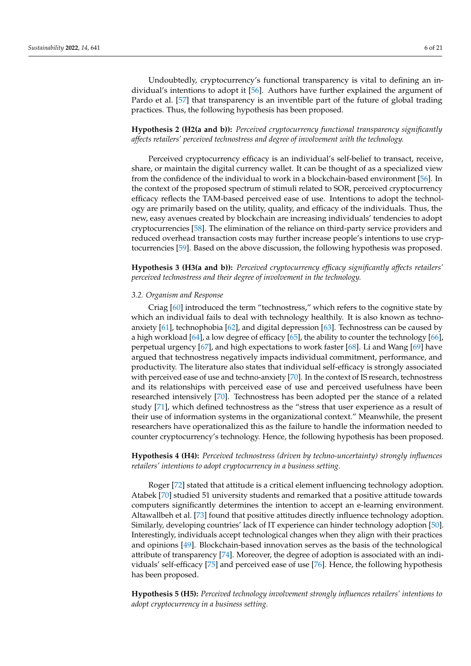Undoubtedly, cryptocurrency's functional transparency is vital to defining an individual's intentions to adopt it [\[56\]](#page-19-10). Authors have further explained the argument of Pardo et al. [\[57\]](#page-19-11) that transparency is an inventible part of the future of global trading practices. Thus, the following hypothesis has been proposed.

**Hypothesis 2 (H2(a and b)):** *Perceived cryptocurrency functional transparency significantly affects retailers' perceived technostress and degree of involvement with the technology.*

Perceived cryptocurrency efficacy is an individual's self-belief to transact, receive, share, or maintain the digital currency wallet. It can be thought of as a specialized view from the confidence of the individual to work in a blockchain-based environment [\[56\]](#page-19-10). In the context of the proposed spectrum of stimuli related to SOR, perceived cryptocurrency efficacy reflects the TAM-based perceived ease of use. Intentions to adopt the technology are primarily based on the utility, quality, and efficacy of the individuals. Thus, the new, easy avenues created by blockchain are increasing individuals' tendencies to adopt cryptocurrencies [\[58\]](#page-19-12). The elimination of the reliance on third-party service providers and reduced overhead transaction costs may further increase people's intentions to use cryptocurrencies [\[59\]](#page-19-13). Based on the above discussion, the following hypothesis was proposed.

**Hypothesis 3 (H3(a and b)):** *Perceived cryptocurrency efficacy significantly affects retailers' perceived technostress and their degree of involvement in the technology.*

## *3.2. Organism and Response*

Criag [\[60\]](#page-19-14) introduced the term "technostress," which refers to the cognitive state by which an individual fails to deal with technology healthily. It is also known as technoanxiety [\[61\]](#page-19-15), technophobia [\[62\]](#page-19-16), and digital depression [\[63\]](#page-19-17). Technostress can be caused by a high workload [\[64\]](#page-19-18), a low degree of efficacy [\[65\]](#page-19-19), the ability to counter the technology [\[66\]](#page-19-20), perpetual urgency [\[67\]](#page-19-21), and high expectations to work faster [\[68\]](#page-19-22). Li and Wang [\[69\]](#page-19-23) have argued that technostress negatively impacts individual commitment, performance, and productivity. The literature also states that individual self-efficacy is strongly associated with perceived ease of use and techno-anxiety [\[70\]](#page-19-24). In the context of IS research, technostress and its relationships with perceived ease of use and perceived usefulness have been researched intensively [\[70\]](#page-19-24). Technostress has been adopted per the stance of a related study [\[71\]](#page-19-25), which defined technostress as the "stress that user experience as a result of their use of information systems in the organizational context." Meanwhile, the present researchers have operationalized this as the failure to handle the information needed to counter cryptocurrency's technology. Hence, the following hypothesis has been proposed.

**Hypothesis 4 (H4):** *Perceived technostress (driven by techno-uncertainty) strongly influences retailers' intentions to adopt cryptocurrency in a business setting.*

Roger [\[72\]](#page-19-26) stated that attitude is a critical element influencing technology adoption. Atabek [\[70\]](#page-19-24) studied 51 university students and remarked that a positive attitude towards computers significantly determines the intention to accept an e-learning environment. Altawallbeh et al. [\[73\]](#page-19-27) found that positive attitudes directly influence technology adoption. Similarly, developing countries' lack of IT experience can hinder technology adoption [\[50\]](#page-19-4). Interestingly, individuals accept technological changes when they align with their practices and opinions [\[49\]](#page-19-3). Blockchain-based innovation serves as the basis of the technological attribute of transparency [\[74\]](#page-19-28). Moreover, the degree of adoption is associated with an individuals' self-efficacy [\[75\]](#page-20-0) and perceived ease of use [\[76\]](#page-20-1). Hence, the following hypothesis has been proposed.

**Hypothesis 5 (H5):** *Perceived technology involvement strongly influences retailers' intentions to adopt cryptocurrency in a business setting.*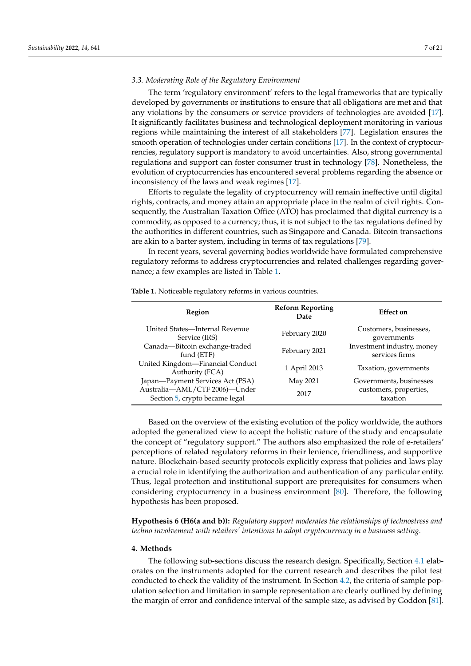## *3.3. Moderating Role of the Regulatory Environment*

The term 'regulatory environment' refers to the legal frameworks that are typically developed by governments or institutions to ensure that all obligations are met and that any violations by the consumers or service providers of technologies are avoided [\[17\]](#page-18-0). It significantly facilitates business and technological deployment monitoring in various regions while maintaining the interest of all stakeholders [\[77\]](#page-20-2). Legislation ensures the smooth operation of technologies under certain conditions [\[17\]](#page-18-0). In the context of cryptocurrencies, regulatory support is mandatory to avoid uncertainties. Also, strong governmental regulations and support can foster consumer trust in technology [\[78\]](#page-20-3). Nonetheless, the evolution of cryptocurrencies has encountered several problems regarding the absence or inconsistency of the laws and weak regimes [\[17\]](#page-18-0).

Efforts to regulate the legality of cryptocurrency will remain ineffective until digital rights, contracts, and money attain an appropriate place in the realm of civil rights. Consequently, the Australian Taxation Office (ATO) has proclaimed that digital currency is a commodity, as opposed to a currency; thus, it is not subject to the tax regulations defined by the authorities in different countries, such as Singapore and Canada. Bitcoin transactions are akin to a barter system, including in terms of tax regulations [\[79\]](#page-20-4).

In recent years, several governing bodies worldwide have formulated comprehensive regulatory reforms to address cryptocurrencies and related challenges regarding governance; a few examples are listed in Table [1.](#page-7-0)

| Region                                                          | <b>Reform Reporting</b><br>Date | Effect on                                    |
|-----------------------------------------------------------------|---------------------------------|----------------------------------------------|
| United States-Internal Revenue<br>Service (IRS)                 | February 2020                   | Customers, businesses,<br>governments        |
| Canada-Bitcoin exchange-traded<br>fund (ETF)                    | February 2021                   | Investment industry, money<br>services firms |
| United Kingdom-Financial Conduct<br>Authority (FCA)             | 1 April 2013                    | Taxation, governments                        |
| Japan-Payment Services Act (PSA)                                | May 2021                        | Governments, businesses                      |
| Australia-AML/CTF 2006)-Under<br>Section 5, crypto became legal | 2017                            | customers, properties,<br>taxation           |

<span id="page-7-0"></span>**Table 1.** Noticeable regulatory reforms in various countries.

Based on the overview of the existing evolution of the policy worldwide, the authors adopted the generalized view to accept the holistic nature of the study and encapsulate the concept of "regulatory support." The authors also emphasized the role of e-retailers' perceptions of related regulatory reforms in their lenience, friendliness, and supportive nature. Blockchain-based security protocols explicitly express that policies and laws play a crucial role in identifying the authorization and authentication of any particular entity. Thus, legal protection and institutional support are prerequisites for consumers when considering cryptocurrency in a business environment [\[80\]](#page-20-5). Therefore, the following hypothesis has been proposed.

**Hypothesis 6 (H6(a and b)):** *Regulatory support moderates the relationships of technostress and techno involvement with retailers' intentions to adopt cryptocurrency in a business setting.*

## **4. Methods**

The following sub-sections discuss the research design. Specifically, Section [4.1](#page-8-0) elaborates on the instruments adopted for the current research and describes the pilot test conducted to check the validity of the instrument. In Section [4.2,](#page-8-1) the criteria of sample population selection and limitation in sample representation are clearly outlined by defining the margin of error and confidence interval of the sample size, as advised by Goddon [\[81\]](#page-20-6).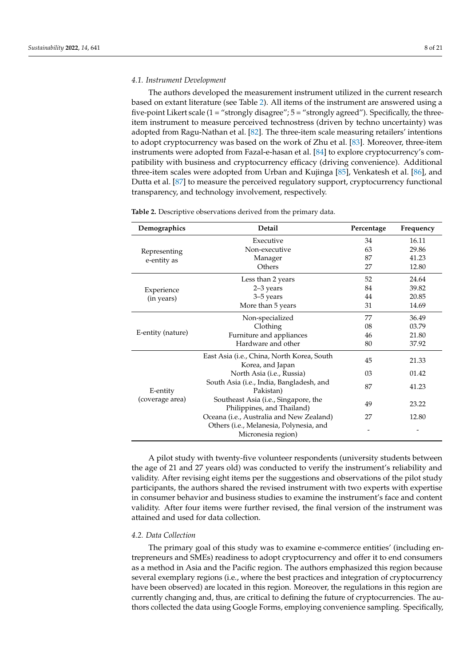## <span id="page-8-0"></span>*4.1. Instrument Development*

The authors developed the measurement instrument utilized in the current research based on extant literature (see Table [2\)](#page-8-2). All items of the instrument are answered using a five-point Likert scale (1 = "strongly disagree"; 5 = "strongly agreed"). Specifically, the threeitem instrument to measure perceived technostress (driven by techno uncertainty) was adopted from Ragu-Nathan et al. [\[82\]](#page-20-7). The three-item scale measuring retailers' intentions to adopt cryptocurrency was based on the work of Zhu et al. [\[83\]](#page-20-8). Moreover, three-item instruments were adopted from Fazal-e-hasan et al. [\[84\]](#page-20-9) to explore cryptocurrency's compatibility with business and cryptocurrency efficacy (driving convenience). Additional three-item scales were adopted from Urban and Kujinga [\[85\]](#page-20-10), Venkatesh et al. [\[86\]](#page-20-11), and Dutta et al. [\[87\]](#page-20-12) to measure the perceived regulatory support, cryptocurrency functional transparency, and technology involvement, respectively.

| Demographics      | Detail                                                             | Percentage | Frequency |
|-------------------|--------------------------------------------------------------------|------------|-----------|
|                   | Executive                                                          | 34         | 16.11     |
| Representing      | Non-executive                                                      | 63         | 29.86     |
| e-entity as       | Manager                                                            | 87         | 41.23     |
|                   | Others                                                             | 27         | 12.80     |
|                   | Less than 2 years                                                  | 52         | 24.64     |
| Experience        | 2-3 years                                                          | 84         | 39.82     |
| (in years)        | 3–5 years                                                          | 44         | 20.85     |
|                   | More than 5 years                                                  | 31         | 14.69     |
|                   | Non-specialized                                                    | 77         | 36.49     |
|                   | Clothing                                                           | 08         | 03.79     |
| E-entity (nature) | Furniture and appliances                                           | 46         | 21.80     |
|                   | Hardware and other                                                 | 80         | 37.92     |
|                   | East Asia (i.e., China, North Korea, South<br>Korea, and Japan     | 45         | 21.33     |
|                   | North Asia (i.e., Russia)                                          | 03         | 01.42     |
| E-entity          | South Asia (i.e., India, Bangladesh, and<br>Pakistan)              | 87         | 41.23     |
| (coverage area)   | Southeast Asia (i.e., Singapore, the<br>Philippines, and Thailand) | 49         | 23.22     |
|                   | Oceana (i.e., Australia and New Zealand)                           | 27         | 12.80     |
|                   | Others (i.e., Melanesia, Polynesia, and<br>Micronesia region)      |            |           |

<span id="page-8-2"></span>**Table 2.** Descriptive observations derived from the primary data.

A pilot study with twenty-five volunteer respondents (university students between the age of 21 and 27 years old) was conducted to verify the instrument's reliability and validity. After revising eight items per the suggestions and observations of the pilot study participants, the authors shared the revised instrument with two experts with expertise in consumer behavior and business studies to examine the instrument's face and content validity. After four items were further revised, the final version of the instrument was attained and used for data collection.

## <span id="page-8-1"></span>*4.2. Data Collection*

The primary goal of this study was to examine e-commerce entities' (including entrepreneurs and SMEs) readiness to adopt cryptocurrency and offer it to end consumers as a method in Asia and the Pacific region. The authors emphasized this region because several exemplary regions (i.e., where the best practices and integration of cryptocurrency have been observed) are located in this region. Moreover, the regulations in this region are currently changing and, thus, are critical to defining the future of cryptocurrencies. The authors collected the data using Google Forms, employing convenience sampling. Specifically,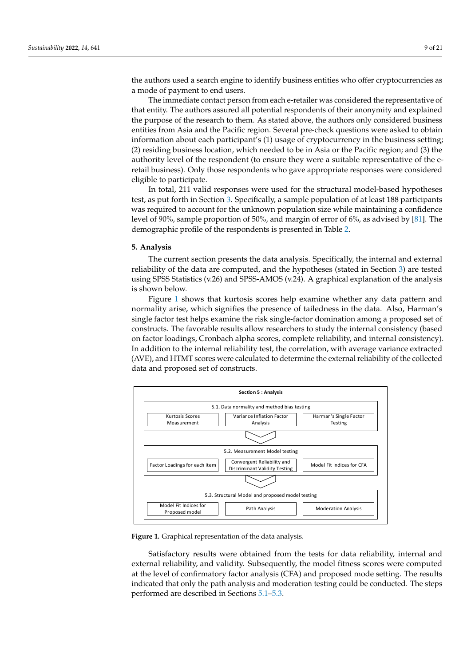the authors used a search engine to identify business entities who offer cryptocurrencies as a mode of payment to end users.

The immediate contact person from each e-retailer was considered the representative of that entity. The authors assured all potential respondents of their anonymity and explained the purpose of the research to them. As stated above, the authors only considered business entities from Asia and the Pacific region. Several pre-check questions were asked to obtain information about each participant's (1) usage of cryptocurrency in the business setting; (2) residing business location, which needed to be in Asia or the Pacific region; and (3) the authority level of the respondent (to ensure they were a suitable representative of the eretail business). Only those respondents who gave appropriate responses were considered eligible to participate.

In total, 211 valid responses were used for the structural model-based hypotheses test, as put forth in Section [3.](#page-5-0) Specifically, a sample population of at least 188 participants was required to account for the unknown population size while maintaining a confidence level of 90%, sample proportion of 50%, and margin of error of 6%, as advised by [\[81\]](#page-20-6). The demographic profile of the respondents is presented in Table [2.](#page-8-2)

## <span id="page-9-0"></span>**5. Analysis**

The current section presents the data analysis. Specifically, the internal and external reliability of the data are computed, and the hypotheses (stated in Section [3\)](#page-5-0) are tested using SPSS Statistics (v.26) and SPSS-AMOS (v.24). A graphical explanation of the analysis is shown below.

Figure [1](#page-9-1) shows that kurtosis scores help examine whether any data pattern and normality arise, which signifies the presence of tailedness in the data. Also, Harman's single factor test helps examine the risk single-factor domination among a proposed set of constructs. The favorable results allow researchers to study the internal consistency (based on factor loadings, Cronbach alpha scores, complete reliability, and internal consistency). In addition to the internal reliability test, the correlation, with average variance extracted (AVE), and HTMT scores were calculated to determine the external reliability of the collected data and proposed set of constructs.

<span id="page-9-1"></span>

**Figure 1.** Graphical representation of the data analysis. **Figure 1.** Graphical representation of the data analysis.

Satisfactory results were obtained from the tests for data reliability, internal and external reliability, and validity. Subsequently, the model fitness scores were computed the level of confirmatory factor analysis (CFA) and proposed mode setting. The results at the level of confirmatory factor analysis (CFA) and proposed mode setting. The results indicated that only the path analysis and moderation testing could be conducted. The indicated that only the path analysis and moderation testing could be conducted. The steps steps performed are described in S[ectio](#page-10-0)[ns 5](#page-12-0).1–5.3. performed are described in Sections 5.1–5.3.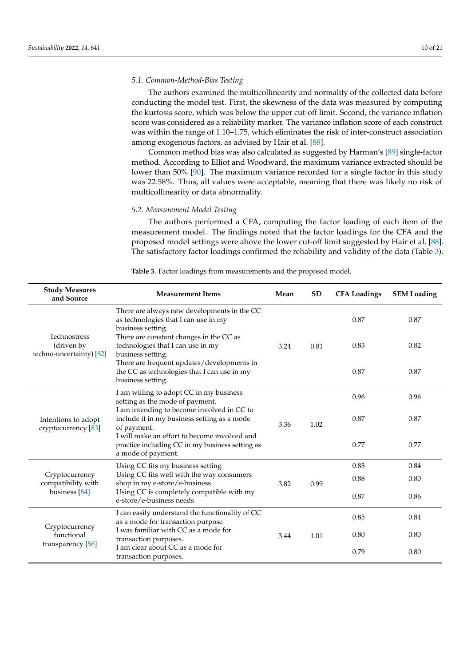## <span id="page-10-0"></span>*5.1. Common-Method-Bias Testing*

The authors examined the multicollinearity and normality of the collected data before conducting the model test. First, the skewness of the data was measured by computing the kurtosis score, which was below the upper cut-off limit. Second, the variance inflation score was considered as a reliability marker. The variance inflation score of each construct was within the range of 1.10–1.75, which eliminates the risk of inter-construct association among exogenous factors, as advised by Hair et al. [\[88\]](#page-20-13).

Common method bias was also calculated as suggested by Harman's [\[89\]](#page-20-14) single-factor method. According to Elliot and Woodward, the maximum variance extracted should be lower than 50% [\[90\]](#page-20-15). The maximum variance recorded for a single factor in this study was 22.58%. Thus, all values were acceptable, meaning that there was likely no risk of multicollinearity or data abnormality.

## *5.2. Measurement Model Testing*

The authors performed a CFA, computing the factor loading of each item of the measurement model. The findings noted that the factor loadings for the CFA and the proposed model settings were above the lower cut-off limit suggested by Hair et al. [\[88\]](#page-20-13). The satisfactory factor loadings confirmed the reliability and validity of the data (Table [3\)](#page-11-0).

| <b>Study Measures</b><br>and Source                    | <b>Measurement Items</b>                                                                                                                              | Mean | <b>SD</b> | <b>CFA Loadings</b> | <b>SEM Loading</b> |
|--------------------------------------------------------|-------------------------------------------------------------------------------------------------------------------------------------------------------|------|-----------|---------------------|--------------------|
|                                                        | There are always new developments in the CC<br>as technologies that I can use in my<br>business setting.                                              |      |           | 0.87                | 0.87               |
| Technostress<br>(driven by<br>techno-uncertainty) [82] | There are constant changes in the CC as<br>technologies that I can use in my<br>business setting.                                                     | 3.24 | 0.81      | 0.83                | 0.82               |
|                                                        | There are frequent updates/developments in<br>the CC as technologies that I can use in my<br>business setting.                                        |      |           | 0.87                | 0.87               |
| Intentions to adopt<br>cryptocurrency [83]             | I am willing to adopt CC in my business<br>setting as the mode of payment.                                                                            |      |           | 0.96                | 0.96               |
|                                                        | I am intending to become involved in CC to<br>include it in my business setting as a mode<br>of payment.                                              | 3.36 | 1.02      | 0.87                | 0.87               |
|                                                        | I will make an effort to become involved and<br>practice including CC in my business setting as<br>a mode of payment.                                 |      |           | 0.77                | 0.77               |
|                                                        | Using CC fits my business setting                                                                                                                     |      |           | 0.83                | 0.84               |
| Cryptocurrency<br>compatibility with<br>business [84]  | Using CC fits well with the way consumers<br>shop in my e-store/e-business                                                                            | 3.82 | 0.99      | 0.88                | 0.80               |
|                                                        | Using CC is completely compatible with my<br>e-store/e-business needs                                                                                 |      |           | 0.87                | 0.86               |
| Cryptocurrency<br>functional<br>transparency [86]      | I can easily understand the functionality of CC<br>as a mode for transaction purpose<br>I was familiar with CC as a mode for<br>transaction purposes. | 3.44 | 1.01      | 0.85                | 0.84               |
|                                                        |                                                                                                                                                       |      |           | 0.80                | 0.80               |
|                                                        | Lam clear about CC as a mode for<br>transaction purposes.                                                                                             |      |           | 0.79                | 0.80               |

**Table 3.** Factor loadings from measurements and the proposed model.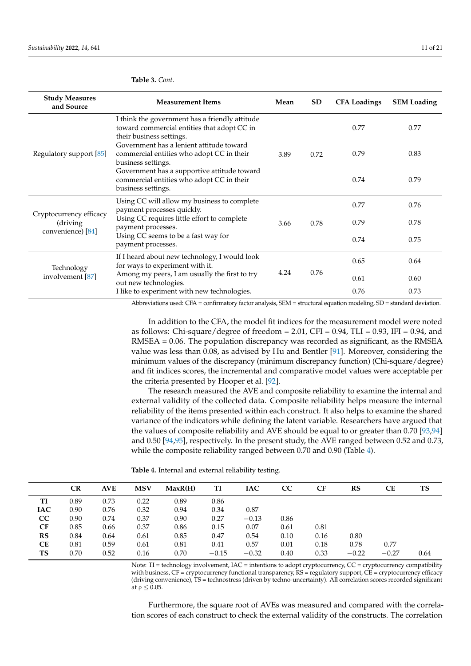| <b>Study Measures</b><br>and Source                       | <b>Measurement Items</b>                                                                                                  | Mean | SD.  | <b>CFA Loadings</b> | <b>SEM Loading</b> |
|-----------------------------------------------------------|---------------------------------------------------------------------------------------------------------------------------|------|------|---------------------|--------------------|
| Regulatory support [85]                                   | I think the government has a friendly attitude<br>toward commercial entities that adopt CC in<br>their business settings. |      |      | 0.77                | 0.77               |
|                                                           | Government has a lenient attitude toward<br>commercial entities who adopt CC in their<br>business settings.               | 3.89 | 0.72 | 0.79                | 0.83               |
|                                                           | Government has a supportive attitude toward<br>commercial entities who adopt CC in their<br>business settings.            |      |      | 0.74                | 0.79               |
| Cryptocurrency efficacy<br>(driving)<br>convenience) [84] | Using CC will allow my business to complete<br>payment processes quickly.                                                 |      |      | 0.77                | 0.76               |
|                                                           | Using CC requires little effort to complete<br>payment processes.                                                         | 3.66 | 0.78 | 0.79                | 0.78               |
|                                                           | Using CC seems to be a fast way for<br>payment processes.                                                                 |      |      | 0.74                | 0.75               |
| Technology<br>involvement [87]                            | If I heard about new technology, I would look<br>for ways to experiment with it.                                          | 4.24 |      | 0.65                | 0.64               |
|                                                           | Among my peers, I am usually the first to try<br>out new technologies.                                                    |      | 0.76 | 0.61                | 0.60               |
|                                                           | I like to experiment with new technologies.                                                                               |      |      | 0.76                | 0.73               |

## <span id="page-11-0"></span>**Table 3.** *Cont*.

Abbreviations used: CFA = confirmatory factor analysis, SEM = structural equation modeling, SD = standard deviation.

In addition to the CFA, the model fit indices for the measurement model were noted as follows: Chi-square/degree of freedom = 2.01, CFI =  $0.94$ , TLI =  $0.93$ , IFI =  $0.94$ , and RMSEA = 0.06. The population discrepancy was recorded as significant, as the RMSEA value was less than 0.08, as advised by Hu and Bentler [\[91\]](#page-20-16). Moreover, considering the minimum values of the discrepancy (minimum discrepancy function) (Chi-square/degree) and fit indices scores, the incremental and comparative model values were acceptable per the criteria presented by Hooper et al. [\[92\]](#page-20-17).

The research measured the AVE and composite reliability to examine the internal and external validity of the collected data. Composite reliability helps measure the internal reliability of the items presented within each construct. It also helps to examine the shared variance of the indicators while defining the latent variable. Researchers have argued that the values of composite reliability and AVE should be equal to or greater than 0.70 [\[93,](#page-20-18)[94\]](#page-20-19) and 0.50 [\[94](#page-20-19)[,95\]](#page-20-20), respectively. In the present study, the AVE ranged between 0.52 and 0.73, while the composite reliability ranged between 0.70 and 0.90 (Table [4\)](#page-11-1).

<span id="page-11-1"></span>**Table 4.** Internal and external reliability testing.

| TS   |
|------|
|      |
|      |
|      |
|      |
|      |
|      |
|      |
| 0.64 |
|      |

Note: TI = technology involvement, IAC = intentions to adopt cryptocurrency, CC = cryptocurrency compatibility with business,  $CF =$  cryptocurrency functional transparency,  $RS =$  regulatory support,  $CE =$  cryptocurrency efficacy (driving convenience), TS = technostress (driven by techno-uncertainty). All correlation scores recorded significant at  $\rho \leq 0.05$ .

Furthermore, the square root of AVEs was measured and compared with the correlation scores of each construct to check the external validity of the constructs. The correlation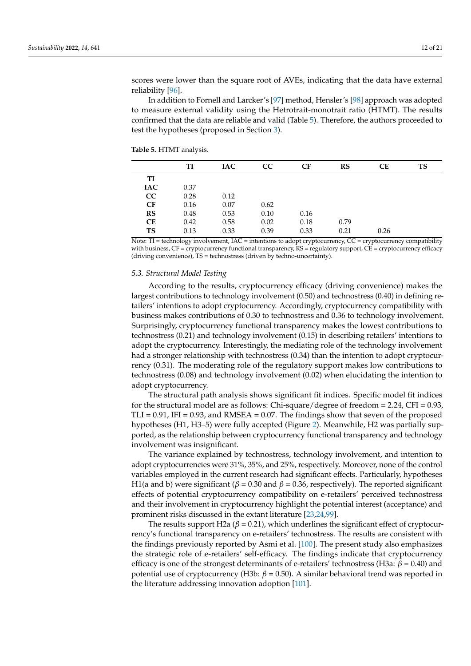scores were lower than the square root of AVEs, indicating that the data have external reliability [\[96\]](#page-20-21).

In addition to Fornell and Larcker's [\[97\]](#page-20-22) method, Hensler's [\[98\]](#page-20-23) approach was adopted to measure external validity using the Hetrotrait-monotrait ratio (HTMT). The results confirmed that the data are reliable and valid (Table [5\)](#page-12-1). Therefore, the authors proceeded to test the hypotheses (proposed in Section [3\)](#page-5-0).

<span id="page-12-1"></span>**Table 5.** HTMT analysis.

|            | TI   | <b>IAC</b> | CC   | CF   | RS   | <b>CE</b> | <b>TS</b> |
|------------|------|------------|------|------|------|-----------|-----------|
| TI         |      |            |      |      |      |           |           |
| <b>IAC</b> | 0.37 |            |      |      |      |           |           |
| CC         | 0.28 | 0.12       |      |      |      |           |           |
| CF         | 0.16 | 0.07       | 0.62 |      |      |           |           |
| RS         | 0.48 | 0.53       | 0.10 | 0.16 |      |           |           |
| CE         | 0.42 | 0.58       | 0.02 | 0.18 | 0.79 |           |           |
| <b>TS</b>  | 0.13 | 0.33       | 0.39 | 0.33 | 0.21 | 0.26      |           |

Note: TI = technology involvement, IAC = intentions to adopt cryptocurrency, CC = cryptocurrency compatibility with business, CF = cryptocurrency functional transparency, RS = regulatory support, CE = cryptocurrency efficacy (driving convenience), TS = technostress (driven by techno-uncertainty).

## <span id="page-12-0"></span>*5.3. Structural Model Testing*

According to the results, cryptocurrency efficacy (driving convenience) makes the largest contributions to technology involvement (0.50) and technostress (0.40) in defining retailers' intentions to adopt cryptocurrency. Accordingly, cryptocurrency compatibility with business makes contributions of 0.30 to technostress and 0.36 to technology involvement. Surprisingly, cryptocurrency functional transparency makes the lowest contributions to technostress (0.21) and technology involvement (0.15) in describing retailers' intentions to adopt the cryptocurrency. Interestingly, the mediating role of the technology involvement had a stronger relationship with technostress (0.34) than the intention to adopt cryptocurrency (0.31). The moderating role of the regulatory support makes low contributions to technostress (0.08) and technology involvement (0.02) when elucidating the intention to adopt cryptocurrency.

The structural path analysis shows significant fit indices. Specific model fit indices for the structural model are as follows: Chi-square/degree of freedom = 2.24, CFI = 0.93,  $TLI = 0.91$ , IFI = 0.93, and RMSEA = 0.07. The findings show that seven of the proposed hypotheses (H1, H3–5) were fully accepted (Figure [2\)](#page-13-0). Meanwhile, H2 was partially supported, as the relationship between cryptocurrency functional transparency and technology involvement was insignificant.

The variance explained by technostress, technology involvement, and intention to adopt cryptocurrencies were 31%, 35%, and 25%, respectively. Moreover, none of the control variables employed in the current research had significant effects. Particularly, hypotheses H1(a and b) were significant ( $\beta$  = 0.30 and  $\beta$  = 0.36, respectively). The reported significant effects of potential cryptocurrency compatibility on e-retailers' perceived technostress and their involvement in cryptocurrency highlight the potential interest (acceptance) and prominent risks discussed in the extant literature [\[23,](#page-18-6)[24](#page-18-7)[,99\]](#page-20-24).

The results support H2a ( $\beta$  = 0.21), which underlines the significant effect of cryptocurrency's functional transparency on e-retailers' technostress. The results are consistent with the findings previously reported by Asmi et al. [\[100\]](#page-20-25). The present study also emphasizes the strategic role of e-retailers' self-efficacy. The findings indicate that cryptocurrency efficacy is one of the strongest determinants of e-retailers' technostress (H3a:  $β = 0.40$ ) and potential use of cryptocurrency (H3b: *β* = 0.50). A similar behavioral trend was reported in the literature addressing innovation adoption [\[101\]](#page-20-26).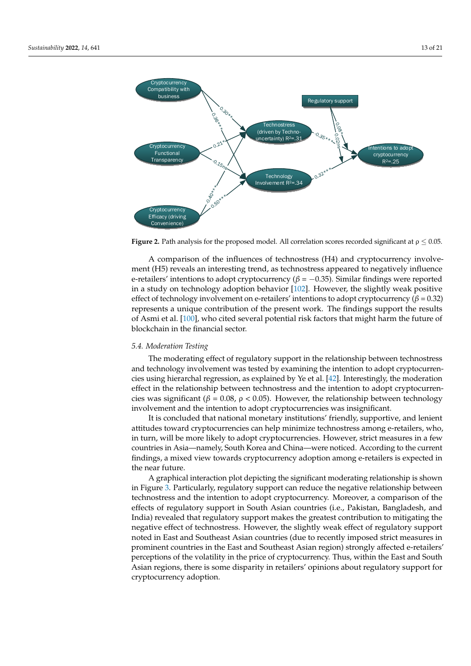<span id="page-13-0"></span>

**Figure 2.** Path analysis for the proposed model. All correlation scores recorded significant at  $\rho \leq 0.05$ .

A comparison of the influences of technostress (H4) and cryptocurrency involvement (H5) reveals an interesting trend, as technostress appeared to negatively influence e-retailers' intentions to adopt cryptocurrency (*β* = −0.35). Similar findings were reported in a study on technology adoption behavior [\[102\]](#page-20-27). However, the slightly weak positive effect of technology involvement on e-retailers' intentions to adopt cryptocurrency ( $\beta$  = 0.32) represents a unique contribution of the present work. The findings support the results of Asmi et al. [\[100\]](#page-20-25), who cited several potential risk factors that might harm the future of blockchain in the financial sector.

## *5.4. Moderation Testing*

The moderating effect of regulatory support in the relationship between technostress and technology involvement was tested by examining the intention to adopt cryptocurrencies using hierarchal regression, as explained by Ye et al. [\[42\]](#page-18-25). Interestingly, the moderation effect in the relationship between technostress and the intention to adopt cryptocurrencies was significant ( $\beta$  = 0.08,  $\rho$  < 0.05). However, the relationship between technology involvement and the intention to adopt cryptocurrencies was insignificant.

It is concluded that national monetary institutions' friendly, supportive, and lenient attitudes toward cryptocurrencies can help minimize technostress among e-retailers, who, in turn, will be more likely to adopt cryptocurrencies. However, strict measures in a few countries in Asia—namely, South Korea and China—were noticed. According to the current findings, a mixed view towards cryptocurrency adoption among e-retailers is expected in the near future.

A graphical interaction plot depicting the significant moderating relationship is shown in Figure [3.](#page-14-0) Particularly, regulatory support can reduce the negative relationship between technostress and the intention to adopt cryptocurrency. Moreover, a comparison of the effects of regulatory support in South Asian countries (i.e., Pakistan, Bangladesh, and India) revealed that regulatory support makes the greatest contribution to mitigating the negative effect of technostress. However, the slightly weak effect of regulatory support noted in East and Southeast Asian countries (due to recently imposed strict measures in prominent countries in the East and Southeast Asian region) strongly affected e-retailers' perceptions of the volatility in the price of cryptocurrency. Thus, within the East and South Asian regions, there is some disparity in retailers' opinions about regulatory support for cryptocurrency adoption.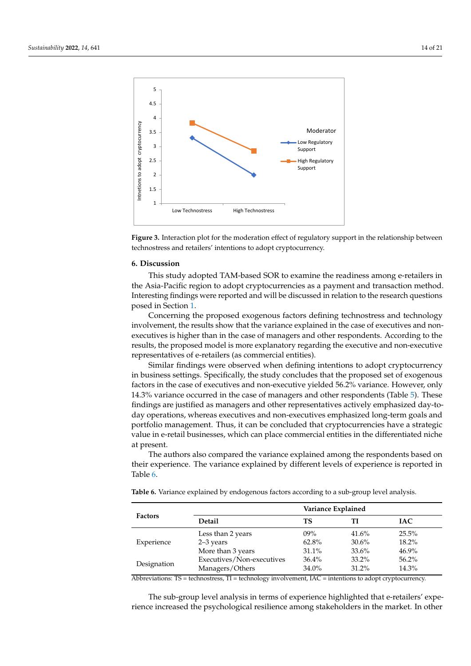<span id="page-14-0"></span>



## **6. Discussion 6. Discussion**

This study adopted TAM-based SOR to examine the readiness among e-retailers in This study adopted TAM-based SOR to examine the readiness among e-retailers in the Asia-Pacific region to adopt cryptocurrencies as a payment and transaction method. the Asia-Pacific region to adopt cryptocurrencies as a payment and transaction method. Interesting findings were reported and will be discussed in relation to the research questions posed in Section [1.](#page-1-0)

Concerning the proposed exogenous factors defining technostress and technology Concerning the proposed exogenous factors defining technostress and technology involvement, the results show that the variance explained in the case of executives and involvement, the results show that the variance explained in the case of executives and nonnon-executives is higher than in the case of managers and other respondents. According executives is higher than in the case of managers and other respondents. According to the results, the proposed model is more explanatory regarding the executive and non-executive representatives of e-retailers (as commercial entities).

Similar findings were observed when defining intentions to adopt cryptocurrency in business settings. Specifically, the study concludes that the proposed set of exogenous factors in the case of executives and non-executive yielded 56.2% variance. However, only 14.3% variance occurred in the case of managers and other respondents (Table [5\)](#page-12-1). These findings are justified as managers and other representatives actively emphasized day-today operations, whereas executives and non-executives emphasized long-term goals and portfolio management. Thus, it can be concluded that cryptocurrencies have a strategic value in e-retail businesses, which can place commercial entities in the differentiated niche at present.

The authors also compared the variance explained among the respondents based on their experience. The variance explained by different levels of experience is reported in Table [6.](#page-14-1)

<span id="page-14-1"></span>**Table 6.** Variance explained by endogenous factors according to a sub-group level analysis.

|                | Variance Explained        |          |          |            |  |  |
|----------------|---------------------------|----------|----------|------------|--|--|
| <b>Factors</b> | <b>Detail</b>             | ТS       | ТI       | <b>IAC</b> |  |  |
| Experience     | Less than 2 years         | $09\%$   | 41.6%    | $25.5\%$   |  |  |
|                | $2-3$ years               | 62.8%    | $30.6\%$ | $18.2\%$   |  |  |
|                | More than 3 years         | 31.1%    | 33.6%    | $46.9\%$   |  |  |
| Designation    | Executives/Non-executives | $36.4\%$ | $33.2\%$ | $56.2\%$   |  |  |
|                | Managers/Others           | 34.0%    | $31.2\%$ | 14.3%      |  |  |

Abbreviations:  $TS =$  technostress,  $TI =$  technology involvement,  $IAC =$  intentions to adopt cryptocurrency.

The sub-group level analysis in terms of experience highlighted that e-retailers' experience increased the psychological resilience among stakeholders in the market. In other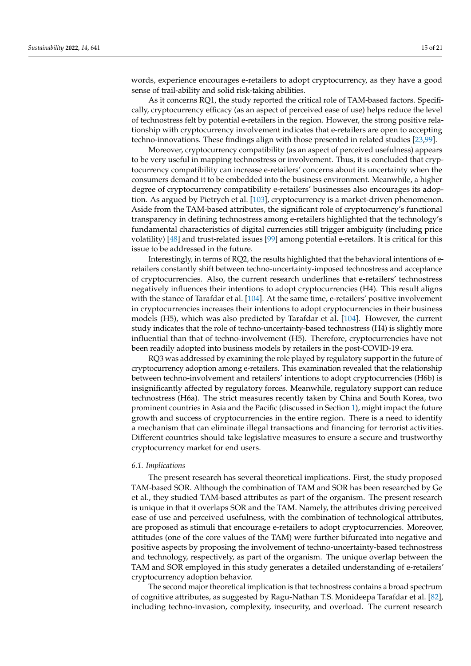words, experience encourages e-retailers to adopt cryptocurrency, as they have a good sense of trail-ability and solid risk-taking abilities.

As it concerns RQ1, the study reported the critical role of TAM-based factors. Specifically, cryptocurrency efficacy (as an aspect of perceived ease of use) helps reduce the level of technostress felt by potential e-retailers in the region. However, the strong positive relationship with cryptocurrency involvement indicates that e-retailers are open to accepting techno-innovations. These findings align with those presented in related studies [\[23,](#page-18-6)[99\]](#page-20-24).

Moreover, cryptocurrency compatibility (as an aspect of perceived usefulness) appears to be very useful in mapping technostress or involvement. Thus, it is concluded that cryptocurrency compatibility can increase e-retailers' concerns about its uncertainty when the consumers demand it to be embedded into the business environment. Meanwhile, a higher degree of cryptocurrency compatibility e-retailers' businesses also encourages its adoption. As argued by Pietrych et al. [\[103\]](#page-20-28), cryptocurrency is a market-driven phenomenon. Aside from the TAM-based attributes, the significant role of cryptocurrency's functional transparency in defining technostress among e-retailers highlighted that the technology's fundamental characteristics of digital currencies still trigger ambiguity (including price volatility) [\[48\]](#page-19-2) and trust-related issues [\[99\]](#page-20-24) among potential e-retailors. It is critical for this issue to be addressed in the future.

Interestingly, in terms of RQ2, the results highlighted that the behavioral intentions of eretailers constantly shift between techno-uncertainty-imposed technostress and acceptance of cryptocurrencies. Also, the current research underlines that e-retailers' technostress negatively influences their intentions to adopt cryptocurrencies (H4). This result aligns with the stance of Tarafdar et al. [\[104\]](#page-20-29). At the same time, e-retailers' positive involvement in cryptocurrencies increases their intentions to adopt cryptocurrencies in their business models (H5), which was also predicted by Tarafdar et al. [\[104\]](#page-20-29). However, the current study indicates that the role of techno-uncertainty-based technostress (H4) is slightly more influential than that of techno-involvement (H5). Therefore, cryptocurrencies have not been readily adopted into business models by retailers in the post-COVID-19 era.

RQ3 was addressed by examining the role played by regulatory support in the future of cryptocurrency adoption among e-retailers. This examination revealed that the relationship between techno-involvement and retailers' intentions to adopt cryptocurrencies (H6b) is insignificantly affected by regulatory forces. Meanwhile, regulatory support can reduce technostress (H6a). The strict measures recently taken by China and South Korea, two prominent countries in Asia and the Pacific (discussed in Section [1\)](#page-1-0), might impact the future growth and success of cryptocurrencies in the entire region. There is a need to identify a mechanism that can eliminate illegal transactions and financing for terrorist activities. Different countries should take legislative measures to ensure a secure and trustworthy cryptocurrency market for end users.

## *6.1. Implications*

The present research has several theoretical implications. First, the study proposed TAM-based SOR. Although the combination of TAM and SOR has been researched by Ge et al., they studied TAM-based attributes as part of the organism. The present research is unique in that it overlaps SOR and the TAM. Namely, the attributes driving perceived ease of use and perceived usefulness, with the combination of technological attributes, are proposed as stimuli that encourage e-retailers to adopt cryptocurrencies. Moreover, attitudes (one of the core values of the TAM) were further bifurcated into negative and positive aspects by proposing the involvement of techno-uncertainty-based technostress and technology, respectively, as part of the organism. The unique overlap between the TAM and SOR employed in this study generates a detailed understanding of e-retailers' cryptocurrency adoption behavior.

The second major theoretical implication is that technostress contains a broad spectrum of cognitive attributes, as suggested by Ragu-Nathan T.S. Monideepa Tarafdar et al. [\[82\]](#page-20-7), including techno-invasion, complexity, insecurity, and overload. The current research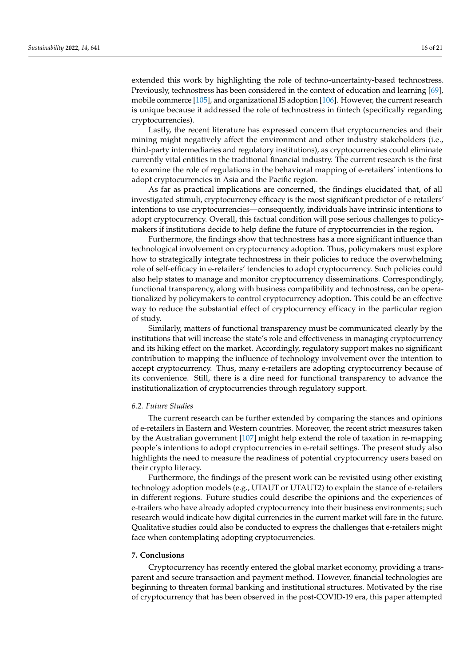extended this work by highlighting the role of techno-uncertainty-based technostress. Previously, technostress has been considered in the context of education and learning [\[69\]](#page-19-23), mobile commerce [\[105\]](#page-21-0), and organizational IS adoption [\[106\]](#page-21-1). However, the current research is unique because it addressed the role of technostress in fintech (specifically regarding cryptocurrencies).

Lastly, the recent literature has expressed concern that cryptocurrencies and their mining might negatively affect the environment and other industry stakeholders (i.e., third-party intermediaries and regulatory institutions), as cryptocurrencies could eliminate currently vital entities in the traditional financial industry. The current research is the first to examine the role of regulations in the behavioral mapping of e-retailers' intentions to adopt cryptocurrencies in Asia and the Pacific region.

As far as practical implications are concerned, the findings elucidated that, of all investigated stimuli, cryptocurrency efficacy is the most significant predictor of e-retailers' intentions to use cryptocurrencies—consequently, individuals have intrinsic intentions to adopt cryptocurrency. Overall, this factual condition will pose serious challenges to policymakers if institutions decide to help define the future of cryptocurrencies in the region.

Furthermore, the findings show that technostress has a more significant influence than technological involvement on cryptocurrency adoption. Thus, policymakers must explore how to strategically integrate technostress in their policies to reduce the overwhelming role of self-efficacy in e-retailers' tendencies to adopt cryptocurrency. Such policies could also help states to manage and monitor cryptocurrency disseminations. Correspondingly, functional transparency, along with business compatibility and technostress, can be operationalized by policymakers to control cryptocurrency adoption. This could be an effective way to reduce the substantial effect of cryptocurrency efficacy in the particular region of study.

Similarly, matters of functional transparency must be communicated clearly by the institutions that will increase the state's role and effectiveness in managing cryptocurrency and its hiking effect on the market. Accordingly, regulatory support makes no significant contribution to mapping the influence of technology involvement over the intention to accept cryptocurrency. Thus, many e-retailers are adopting cryptocurrency because of its convenience. Still, there is a dire need for functional transparency to advance the institutionalization of cryptocurrencies through regulatory support.

## *6.2. Future Studies*

The current research can be further extended by comparing the stances and opinions of e-retailers in Eastern and Western countries. Moreover, the recent strict measures taken by the Australian government [\[107\]](#page-21-2) might help extend the role of taxation in re-mapping people's intentions to adopt cryptocurrencies in e-retail settings. The present study also highlights the need to measure the readiness of potential cryptocurrency users based on their crypto literacy.

Furthermore, the findings of the present work can be revisited using other existing technology adoption models (e.g., UTAUT or UTAUT2) to explain the stance of e-retailers in different regions. Future studies could describe the opinions and the experiences of e-trailers who have already adopted cryptocurrency into their business environments; such research would indicate how digital currencies in the current market will fare in the future. Qualitative studies could also be conducted to express the challenges that e-retailers might face when contemplating adopting cryptocurrencies.

## **7. Conclusions**

Cryptocurrency has recently entered the global market economy, providing a transparent and secure transaction and payment method. However, financial technologies are beginning to threaten formal banking and institutional structures. Motivated by the rise of cryptocurrency that has been observed in the post-COVID-19 era, this paper attempted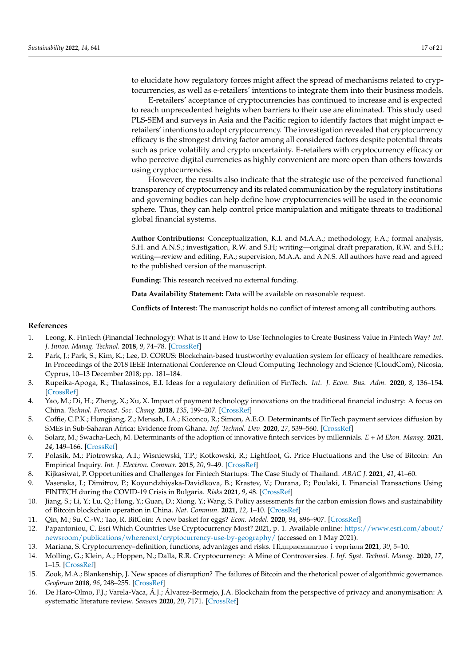to elucidate how regulatory forces might affect the spread of mechanisms related to cryptocurrencies, as well as e-retailers' intentions to integrate them into their business models.

E-retailers' acceptance of cryptocurrencies has continued to increase and is expected to reach unprecedented heights when barriers to their use are eliminated. This study used PLS-SEM and surveys in Asia and the Pacific region to identify factors that might impact eretailers' intentions to adopt cryptocurrency. The investigation revealed that cryptocurrency efficacy is the strongest driving factor among all considered factors despite potential threats such as price volatility and crypto uncertainty. E-retailers with cryptocurrency efficacy or who perceive digital currencies as highly convenient are more open than others towards using cryptocurrencies.

However, the results also indicate that the strategic use of the perceived functional transparency of cryptocurrency and its related communication by the regulatory institutions and governing bodies can help define how cryptocurrencies will be used in the economic sphere. Thus, they can help control price manipulation and mitigate threats to traditional global financial systems.

**Author Contributions:** Conceptualization, K.I. and M.A.A.; methodology, F.A.; formal analysis, S.H. and A.N.S.; investigation, R.W. and S.H; writing—original draft preparation, R.W. and S.H.; writing—review and editing, F.A.; supervision, M.A.A. and A.N.S. All authors have read and agreed to the published version of the manuscript.

**Funding:** This research received no external funding.

**Data Availability Statement:** Data will be available on reasonable request.

**Conflicts of Interest:** The manuscript holds no conflict of interest among all contributing authors.

## **References**

- <span id="page-17-0"></span>1. Leong, K. FinTech (Financial Technology): What is It and How to Use Technologies to Create Business Value in Fintech Way? *Int. J. Innov. Manag. Technol.* **2018**, *9*, 74–78. [\[CrossRef\]](http://doi.org/10.18178/ijimt.2018.9.2.791)
- <span id="page-17-1"></span>2. Park, J.; Park, S.; Kim, K.; Lee, D. CORUS: Blockchain-based trustworthy evaluation system for efficacy of healthcare remedies. In Proceedings of the 2018 IEEE International Conference on Cloud Computing Technology and Science (CloudCom), Nicosia, Cyprus, 10–13 December 2018; pp. 181–184.
- <span id="page-17-2"></span>3. Rupeika-Apoga, R.; Thalassinos, E.I. Ideas for a regulatory definition of FinTech. *Int. J. Econ. Bus. Adm.* **2020**, *8*, 136–154. [\[CrossRef\]](http://doi.org/10.35808/ijeba/448)
- <span id="page-17-3"></span>4. Yao, M.; Di, H.; Zheng, X.; Xu, X. Impact of payment technology innovations on the traditional financial industry: A focus on China. *Technol. Forecast. Soc. Chang.* **2018**, *135*, 199–207. [\[CrossRef\]](http://doi.org/10.1016/j.techfore.2017.12.023)
- <span id="page-17-4"></span>5. Coffie, C.P.K.; Hongjiang, Z.; Mensah, I.A.; Kiconco, R.; Simon, A.E.O. Determinants of FinTech payment services diffusion by SMEs in Sub-Saharan Africa: Evidence from Ghana. *Inf. Technol. Dev.* **2020**, *27*, 539–560. [\[CrossRef\]](http://doi.org/10.1080/02681102.2020.1840324)
- <span id="page-17-5"></span>6. Solarz, M.; Swacha-Lech, M. Determinants of the adoption of innovative fintech services by millennials. *E + M Ekon. Manag.* **2021**, *24*, 149–166. [\[CrossRef\]](http://doi.org/10.15240/tul/001/2021-3-009)
- <span id="page-17-6"></span>7. Polasik, M.; Piotrowska, A.I.; Wisniewski, T.P.; Kotkowski, R.; Lightfoot, G. Price Fluctuations and the Use of Bitcoin: An Empirical Inquiry. *Int. J. Electron. Commer.* **2015**, *20*, 9–49. [\[CrossRef\]](http://doi.org/10.1080/10864415.2016.1061413)
- <span id="page-17-7"></span>8. Kijkasiwat, P. Opportunities and Challenges for Fintech Startups: The Case Study of Thailand. *ABAC J.* **2021**, *41*, 41–60.
- <span id="page-17-8"></span>9. Vasenska, I.; Dimitrov, P.; Koyundzhiyska-Davidkova, B.; Krastev, V.; Durana, P.; Poulaki, I. Financial Transactions Using FINTECH during the COVID-19 Crisis in Bulgaria. *Risks* **2021**, *9*, 48. [\[CrossRef\]](http://doi.org/10.3390/risks9030048)
- <span id="page-17-9"></span>10. Jiang, S.; Li, Y.; Lu, Q.; Hong, Y.; Guan, D.; Xiong, Y.; Wang, S. Policy assessments for the carbon emission flows and sustainability of Bitcoin blockchain operation in China. *Nat. Commun.* **2021**, *12*, 1–10. [\[CrossRef\]](http://doi.org/10.1038/s41467-021-22256-3)
- <span id="page-17-10"></span>11. Qin, M.; Su, C.-W.; Tao, R. BitCoin: A new basket for eggs? *Econ. Model.* **2020**, *94*, 896–907. [\[CrossRef\]](http://doi.org/10.1016/j.econmod.2020.02.031)
- <span id="page-17-11"></span>12. Papantoniou, C. Esri Which Countries Use Cryptocurrency Most? 2021, p. 1. Available online: [https://www.esri.com/about/](https://www.esri.com/about/newsroom/publications/wherenext/cryptocurrency-use-by-geography/) [newsroom/publications/wherenext/cryptocurrency-use-by-geography/](https://www.esri.com/about/newsroom/publications/wherenext/cryptocurrency-use-by-geography/) (accessed on 1 May 2021).
- <span id="page-17-12"></span>13. Mariana, S. Cryptocurrency–definition, functions, advantages and risks. Πiдприємництво i торгiвля **2021**, *30*, 5–10.
- <span id="page-17-13"></span>14. Molling, G.; Klein, A.; Hoppen, N.; Dalla, R.R. Cryptocurrency: A Mine of Controversies. *J. Inf. Syst. Technol. Manag.* **2020**, *17*, 1–15. [\[CrossRef\]](http://doi.org/10.4301/S1807-1775202017010)
- <span id="page-17-14"></span>15. Zook, M.A.; Blankenship, J. New spaces of disruption? The failures of Bitcoin and the rhetorical power of algorithmic governance. *Geoforum* **2018**, *96*, 248–255. [\[CrossRef\]](http://doi.org/10.1016/j.geoforum.2018.08.023)
- <span id="page-17-15"></span>16. De Haro-Olmo, F.J.; Varela-Vaca, Á.J.; Álvarez-Bermejo, J.A. Blockchain from the perspective of privacy and anonymisation: A systematic literature review. *Sensors* **2020**, *20*, 7171. [\[CrossRef\]](http://doi.org/10.3390/s20247171)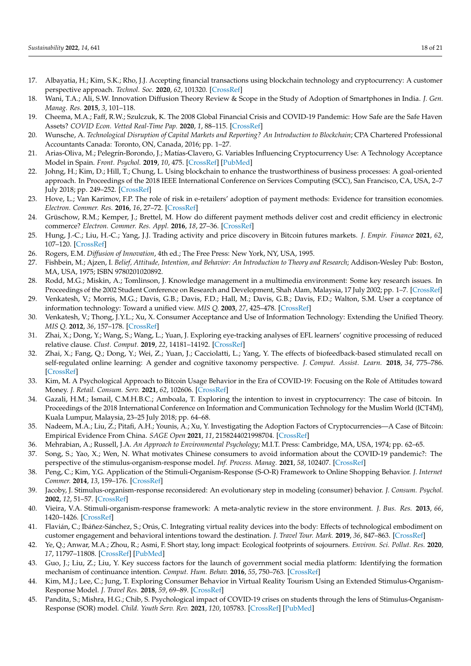- <span id="page-18-0"></span>17. Albayatia, H.; Kim, S.K.; Rho, J.J. Accepting financial transactions using blockchain technology and cryptocurrency: A customer perspective approach. *Technol. Soc.* **2020**, *62*, 101320. [\[CrossRef\]](http://doi.org/10.1016/j.techsoc.2020.101320)
- <span id="page-18-1"></span>18. Wani, T.A.; Ali, S.W. Innovation Diffusion Theory Review & Scope in the Study of Adoption of Smartphones in India. *J. Gen. Manag. Res.* **2015**, *3*, 101–118.
- <span id="page-18-2"></span>19. Cheema, M.A.; Faff, R.W.; Szulczuk, K. The 2008 Global Financial Crisis and COVID-19 Pandemic: How Safe are the Safe Haven Assets? *COVID Econ. Vetted Real-Time Pap.* **2020**, *1*, 88–115. [\[CrossRef\]](http://doi.org/10.2139/ssrn.3642945)
- <span id="page-18-3"></span>20. Wunsche, A. *Technological Disruption of Capital Markets and Reporting? An Introduction to Blockchain;* CPA Chartered Professional Accountants Canada: Toronto, ON, Canada, 2016; pp. 1–27.
- <span id="page-18-4"></span>21. Arias-Oliva, M.; Pelegrín-Borondo, J.; Matías-Clavero, G. Variables Influencing Cryptocurrency Use: A Technology Acceptance Model in Spain. *Front. Psychol.* **2019**, *10*, 475. [\[CrossRef\]](http://doi.org/10.3389/fpsyg.2019.00475) [\[PubMed\]](http://www.ncbi.nlm.nih.gov/pubmed/30949085)
- <span id="page-18-5"></span>22. Johng, H.; Kim, D.; Hill, T.; Chung, L. Using blockchain to enhance the trustworthiness of business processes: A goal-oriented approach. In Proceedings of the 2018 IEEE International Conference on Services Computing (SCC), San Francisco, CA, USA, 2–7 July 2018; pp. 249–252. [\[CrossRef\]](http://doi.org/10.1109/SCC.2018.00041)
- <span id="page-18-6"></span>23. Hove, L.; Van Karimov, F.P. The role of risk in e-retailers' adoption of payment methods: Evidence for transition economies. *Electron. Commer. Res.* **2016**, *16*, 27–72. [\[CrossRef\]](http://doi.org/10.1007/s10660-015-9203-6)
- <span id="page-18-7"></span>24. Grüschow, R.M.; Kemper, J.; Brettel, M. How do different payment methods deliver cost and credit efficiency in electronic commerce? *Electron. Commer. Res. Appl.* **2016**, *18*, 27–36. [\[CrossRef\]](http://doi.org/10.1016/j.elerap.2016.06.001)
- <span id="page-18-8"></span>25. Hung, J.-C.; Liu, H.-C.; Yang, J.J. Trading activity and price discovery in Bitcoin futures markets. *J. Empir. Finance* **2021**, *62*, 107–120. [\[CrossRef\]](http://doi.org/10.1016/j.jempfin.2021.03.001)
- <span id="page-18-9"></span>26. Rogers, E.M. *Diffusion of Innovation*, 4th ed.; The Free Press: New York, NY, USA, 1995.
- <span id="page-18-10"></span>27. Fishbein, M.; Ajzen, I. *Belief, Attitude, Intention, and Behavior: An Introduction to Theory and Research*; Addison-Wesley Pub: Boston, MA, USA, 1975; ISBN 9780201020892.
- <span id="page-18-11"></span>28. Rodd, M.G.; Miskin, A.; Tomlinson, J. Knowledge management in a multimedia environment: Some key research issues. In Proceedings of the 2002 Student Conference on Research and Development, Shah Alam, Malaysia, 17 July 2002; pp. 1–7. [\[CrossRef\]](http://doi.org/10.1109/SCORED.2002.1033040)
- <span id="page-18-12"></span>29. Venkatesh, V.; Morris, M.G.; Davis, G.B.; Davis, F.D.; Hall, M.; Davis, G.B.; Davis, F.D.; Walton, S.M. User a cceptance of information technology: Toward a unified view. *MIS Q.* **2003**, *27*, 425–478. [\[CrossRef\]](http://doi.org/10.2307/30036540)
- <span id="page-18-13"></span>30. Venkatesh, V.; Thong, J.Y.L.; Xu, X. Consumer Acceptance and Use of Information Technology: Extending the Unified Theory. *MIS Q.* **2012**, *36*, 157–178. [\[CrossRef\]](http://doi.org/10.2307/41410412)
- <span id="page-18-14"></span>31. Zhai, X.; Dong, Y.; Wang, S.; Wang, L.; Yuan, J. Exploring eye-tracking analyses of EFL learners' cognitive processing of reduced relative clause. *Clust. Comput.* **2019**, *22*, 14181–14192. [\[CrossRef\]](http://doi.org/10.1007/s10586-018-2263-3)
- <span id="page-18-15"></span>32. Zhai, X.; Fang, Q.; Dong, Y.; Wei, Z.; Yuan, J.; Cacciolatti, L.; Yang, Y. The effects of biofeedback-based stimulated recall on self-regulated online learning: A gender and cognitive taxonomy perspective. *J. Comput. Assist. Learn.* **2018**, *34*, 775–786. [\[CrossRef\]](http://doi.org/10.1111/jcal.12284)
- <span id="page-18-16"></span>33. Kim, M. A Psychological Approach to Bitcoin Usage Behavior in the Era of COVID-19: Focusing on the Role of Attitudes toward Money. *J. Retail. Consum. Serv.* **2021**, *62*, 102606. [\[CrossRef\]](http://doi.org/10.1016/j.jretconser.2021.102606)
- <span id="page-18-17"></span>34. Gazali, H.M.; Ismail, C.M.H.B.C.; Amboala, T. Exploring the intention to invest in cryptocurrency: The case of bitcoin. In Proceedings of the 2018 International Conference on Information and Communication Technology for the Muslim World (ICT4M), Kuala Lumpur, Malaysia, 23–25 July 2018; pp. 64–68.
- <span id="page-18-18"></span>35. Nadeem, M.A.; Liu, Z.; Pitafi, A.H.; Younis, A.; Xu, Y. Investigating the Adoption Factors of Cryptocurrencies—A Case of Bitcoin: Empirical Evidence From China. *SAGE Open* **2021**, *11*, 2158244021998704. [\[CrossRef\]](http://doi.org/10.1177/2158244021998704)
- <span id="page-18-19"></span>36. Mehrabian, A.; Russell, J.A. *An Approach to Environmental Psychology*; M.I.T. Press: Cambridge, MA, USA, 1974; pp. 62–65.
- <span id="page-18-20"></span>37. Song, S.; Yao, X.; Wen, N. What motivates Chinese consumers to avoid information about the COVID-19 pandemic?: The perspective of the stimulus-organism-response model. *Inf. Process. Manag.* **2021**, *58*, 102407. [\[CrossRef\]](http://doi.org/10.1016/j.ipm.2020.102407)
- <span id="page-18-21"></span>38. Peng, C.; Kim, Y.G. Application of the Stimuli-Organism-Response (S-O-R) Framework to Online Shopping Behavior. *J. Internet Commer.* **2014**, *13*, 159–176. [\[CrossRef\]](http://doi.org/10.1080/15332861.2014.944437)
- <span id="page-18-22"></span>39. Jacoby, J. Stimulus-organism-response reconsidered: An evolutionary step in modeling (consumer) behavior. *J. Consum. Psychol.* **2002**, *12*, 51–57. [\[CrossRef\]](http://doi.org/10.1207/S15327663JCP1201_05)
- <span id="page-18-23"></span>40. Vieira, V.A. Stimuli-organism-response framework: A meta-analytic review in the store environment. *J. Bus. Res.* **2013**, *66*, 1420–1426. [\[CrossRef\]](http://doi.org/10.1016/j.jbusres.2012.05.009)
- <span id="page-18-24"></span>41. Flavián, C.; Ibáñez-Sánchez, S.; Orús, C. Integrating virtual reality devices into the body: Effects of technological embodiment on customer engagement and behavioral intentions toward the destination. *J. Travel Tour. Mark.* **2019**, *36*, 847–863. [\[CrossRef\]](http://doi.org/10.1080/10548408.2019.1618781)
- <span id="page-18-25"></span>42. Ye, Q.; Anwar, M.A.; Zhou, R.; Asmi, F. Short stay, long impact: Ecological footprints of sojourners. *Environ. Sci. Pollut. Res.* **2020**, *17*, 11797–11808. [\[CrossRef\]](http://doi.org/10.1007/s11356-020-07700-z) [\[PubMed\]](http://www.ncbi.nlm.nih.gov/pubmed/31970643)
- <span id="page-18-26"></span>43. Guo, J.; Liu, Z.; Liu, Y. Key success factors for the launch of government social media platform: Identifying the formation mechanism of continuance intention. *Comput. Hum. Behav.* **2016**, *55*, 750–763. [\[CrossRef\]](http://doi.org/10.1016/j.chb.2015.10.004)
- <span id="page-18-27"></span>44. Kim, M.J.; Lee, C.; Jung, T. Exploring Consumer Behavior in Virtual Reality Tourism Using an Extended Stimulus-Organism-Response Model. *J. Travel Res.* **2018**, *59*, 69–89. [\[CrossRef\]](http://doi.org/10.1177/0047287518818915)
- <span id="page-18-28"></span>45. Pandita, S.; Mishra, H.G.; Chib, S. Psychological impact of COVID-19 crises on students through the lens of Stimulus-Organism-Response (SOR) model. *Child. Youth Serv. Rev.* **2021**, *120*, 105783. [\[CrossRef\]](http://doi.org/10.1016/j.childyouth.2020.105783) [\[PubMed\]](http://www.ncbi.nlm.nih.gov/pubmed/33518862)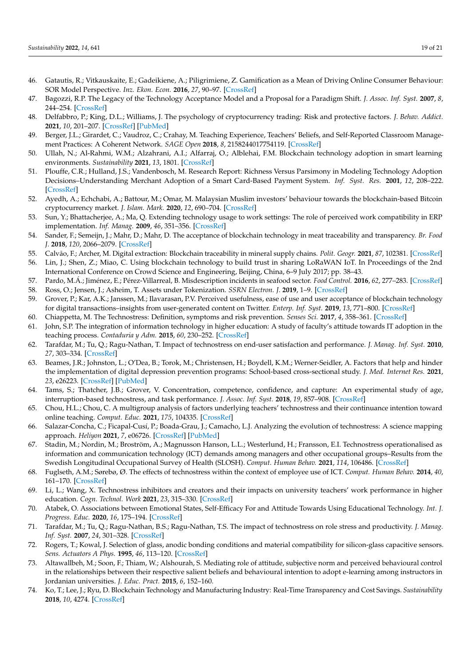- <span id="page-19-0"></span>46. Gatautis, R.; Vitkauskaite, E.; Gadeikiene, A.; Piligrimiene, Z. Gamification as a Mean of Driving Online Consumer Behaviour: SOR Model Perspective. *Inz. Ekon. Econ.* **2016**, *27*, 90–97. [\[CrossRef\]](http://doi.org/10.5755/j01.ee.27.1.13198)
- <span id="page-19-1"></span>47. Bagozzi, R.P. The Legacy of the Technology Acceptance Model and a Proposal for a Paradigm Shift. *J. Assoc. Inf. Syst.* **2007**, *8*, 244–254. [\[CrossRef\]](http://doi.org/10.17705/1jais.00122)
- <span id="page-19-2"></span>48. Delfabbro, P.; King, D.L.; Williams, J. The psychology of cryptocurrency trading: Risk and protective factors. *J. Behav. Addict.* **2021**, *10*, 201–207. [\[CrossRef\]](http://doi.org/10.1556/2006.2021.00037) [\[PubMed\]](http://www.ncbi.nlm.nih.gov/pubmed/34152998)
- <span id="page-19-3"></span>49. Berger, J.L.; Girardet, C.; Vaudroz, C.; Crahay, M. Teaching Experience, Teachers' Beliefs, and Self-Reported Classroom Management Practices: A Coherent Network. *SAGE Open* **2018**, *8*, 2158244017754119. [\[CrossRef\]](http://doi.org/10.1177/2158244017754119)
- <span id="page-19-4"></span>50. Ullah, N.; Al-Rahmi, W.M.; Alzahrani, A.I.; Alfarraj, O.; Alblehai, F.M. Blockchain technology adoption in smart learning environments. *Sustainability* **2021**, *13*, 1801. [\[CrossRef\]](http://doi.org/10.3390/su13041801)
- <span id="page-19-5"></span>51. Plouffe, C.R.; Hulland, J.S.; Vandenbosch, M. Research Report: Richness Versus Parsimony in Modeling Technology Adoption Decisions–Understanding Merchant Adoption of a Smart Card-Based Payment System. *Inf. Syst. Res.* **2001**, *12*, 208–222. [\[CrossRef\]](http://doi.org/10.1287/isre.12.2.208.9697)
- <span id="page-19-6"></span>52. Ayedh, A.; Echchabi, A.; Battour, M.; Omar, M. Malaysian Muslim investors' behaviour towards the blockchain-based Bitcoin cryptocurrency market. *J. Islam. Mark.* **2020**, *12*, 690–704. [\[CrossRef\]](http://doi.org/10.1108/JIMA-04-2019-0081)
- <span id="page-19-7"></span>53. Sun, Y.; Bhattacherjee, A.; Ma, Q. Extending technology usage to work settings: The role of perceived work compatibility in ERP implementation. *Inf. Manag.* **2009**, *46*, 351–356. [\[CrossRef\]](http://doi.org/10.1016/j.im.2009.06.003)
- <span id="page-19-8"></span>54. Sander, F.; Semeijn, J.; Mahr, D.; Mahr, D. The acceptance of blockchain technology in meat traceability and transparency. *Br. Food J.* **2018**, *120*, 2066–2079. [\[CrossRef\]](http://doi.org/10.1108/BFJ-07-2017-0365)
- <span id="page-19-9"></span>55. Calvão, F.; Archer, M. Digital extraction: Blockchain traceability in mineral supply chains. *Polit. Geogr.* **2021**, *87*, 102381. [\[CrossRef\]](http://doi.org/10.1016/j.polgeo.2021.102381)
- <span id="page-19-10"></span>56. Lin, J.; Shen, Z.; Miao, C. Using blockchain technology to build trust in sharing LoRaWAN IoT. In Proceedings of the 2nd International Conference on Crowd Science and Engineering, Beijing, China, 6–9 July 2017; pp. 38–43.
- <span id="page-19-11"></span>57. Pardo, M.Á.; Jiménez, E.; Pérez-Villarreal, B. Misdescription incidents in seafood sector. *Food Control.* **2016**, *62*, 277–283. [\[CrossRef\]](http://doi.org/10.1016/j.foodcont.2015.10.048)
- <span id="page-19-12"></span>58. Ross, O.; Jensen, J.; Asheim, T. Assets under Tokenization. *SSRN Electron. J.* **2019**, 1–9. [\[CrossRef\]](http://doi.org/10.2139/ssrn.3488344)
- <span id="page-19-13"></span>59. Grover, P.; Kar, A.K.; Janssen, M.; Ilavarasan, P.V. Perceived usefulness, ease of use and user acceptance of blockchain technology for digital transactions–insights from user-generated content on Twitter. *Enterp. Inf. Syst.* **2019**, *13*, 771–800. [\[CrossRef\]](http://doi.org/10.1080/17517575.2019.1599446)
- <span id="page-19-14"></span>60. Chiappetta, M. The Technostress: Definition, symptoms and risk prevention. *Senses Sci.* **2017**, *4*, 358–361. [\[CrossRef\]](http://doi.org/10.14616/sands-2017-1-358361)
- <span id="page-19-15"></span>61. John, S.P. The integration of information technology in higher education: A study of faculty's attitude towards IT adoption in the teaching process. *Contaduria y Adm.* **2015**, *60*, 230–252. [\[CrossRef\]](http://doi.org/10.1016/j.cya.2015.08.004)
- <span id="page-19-16"></span>62. Tarafdar, M.; Tu, Q.; Ragu-Nathan, T. Impact of technostress on end-user satisfaction and performance. *J. Manag. Inf. Syst.* **2010**, *27*, 303–334. [\[CrossRef\]](http://doi.org/10.2753/MIS0742-1222270311)
- <span id="page-19-17"></span>63. Beames, J.R.; Johnston, L.; O'Dea, B.; Torok, M.; Christensen, H.; Boydell, K.M.; Werner-Seidler, A. Factors that help and hinder the implementation of digital depression prevention programs: School-based cross-sectional study. *J. Med. Internet Res.* **2021**, *23*, e26223. [\[CrossRef\]](http://doi.org/10.2196/26223) [\[PubMed\]](http://www.ncbi.nlm.nih.gov/pubmed/34448701)
- <span id="page-19-18"></span>64. Tams, S.; Thatcher, J.B.; Grover, V. Concentration, competence, confidence, and capture: An experimental study of age, interruption-based technostress, and task performance. *J. Assoc. Inf. Syst.* **2018**, *19*, 857–908. [\[CrossRef\]](http://doi.org/10.17705/1jais.00511)
- <span id="page-19-19"></span>65. Chou, H.L.; Chou, C. A multigroup analysis of factors underlying teachers' technostress and their continuance intention toward online teaching. *Comput. Educ.* **2021**, *175*, 104335. [\[CrossRef\]](http://doi.org/10.1016/j.compedu.2021.104335)
- <span id="page-19-20"></span>66. Salazar-Concha, C.; Ficapal-Cusí, P.; Boada-Grau, J.; Camacho, L.J. Analyzing the evolution of technostress: A science mapping approach. *Heliyon* **2021**, *7*, e06726. [\[CrossRef\]](http://doi.org/10.1016/j.heliyon.2021.e06726) [\[PubMed\]](http://www.ncbi.nlm.nih.gov/pubmed/33912710)
- <span id="page-19-21"></span>67. Stadin, M.; Nordin, M.; Broström, A.; Magnusson Hanson, L.L.; Westerlund, H.; Fransson, E.I. Technostress operationalised as information and communication technology (ICT) demands among managers and other occupational groups–Results from the Swedish Longitudinal Occupational Survey of Health (SLOSH). *Comput. Human Behav.* **2021**, *114*, 106486. [\[CrossRef\]](http://doi.org/10.1016/j.chb.2020.106486)
- <span id="page-19-22"></span>68. Fuglseth, A.M.; Sørebø, Ø. The effects of technostress within the context of employee use of ICT. *Comput. Human Behav.* **2014**, *40*, 161–170. [\[CrossRef\]](http://doi.org/10.1016/j.chb.2014.07.040)
- <span id="page-19-23"></span>69. Li, L.; Wang, X. Technostress inhibitors and creators and their impacts on university teachers' work performance in higher education. *Cogn. Technol. Work* **2021**, *23*, 315–330. [\[CrossRef\]](http://doi.org/10.1007/s10111-020-00625-0)
- <span id="page-19-24"></span>70. Atabek, O. Associations between Emotional States, Self-Efficacy For and Attitude Towards Using Educational Technology. *Int. J. Progress. Educ.* **2020**, *16*, 175–194. [\[CrossRef\]](http://doi.org/10.29329/ijpe.2020.241.12)
- <span id="page-19-25"></span>71. Tarafdar, M.; Tu, Q.; Ragu-Nathan, B.S.; Ragu-Nathan, T.S. The impact of technostress on role stress and productivity. *J. Manag. Inf. Syst.* **2007**, *24*, 301–328. [\[CrossRef\]](http://doi.org/10.2753/MIS0742-1222240109)
- <span id="page-19-26"></span>72. Rogers, T.; Kowal, J. Selection of glass, anodic bonding conditions and material compatibility for silicon-glass capacitive sensors. *Sens. Actuators A Phys.* **1995**, *46*, 113–120. [\[CrossRef\]](http://doi.org/10.1016/0924-4247(94)00872-F)
- <span id="page-19-27"></span>73. Altawallbeh, M.; Soon, F.; Thiam, W.; Alshourah, S. Mediating role of attitude, subjective norm and perceived behavioural control in the relationships between their respective salient beliefs and behavioural intention to adopt e-learning among instructors in Jordanian universities. *J. Educ. Pract.* **2015**, *6*, 152–160.
- <span id="page-19-28"></span>74. Ko, T.; Lee, J.; Ryu, D. Blockchain Technology and Manufacturing Industry: Real-Time Transparency and Cost Savings. *Sustainability* **2018**, *10*, 4274. [\[CrossRef\]](http://doi.org/10.3390/su10114274)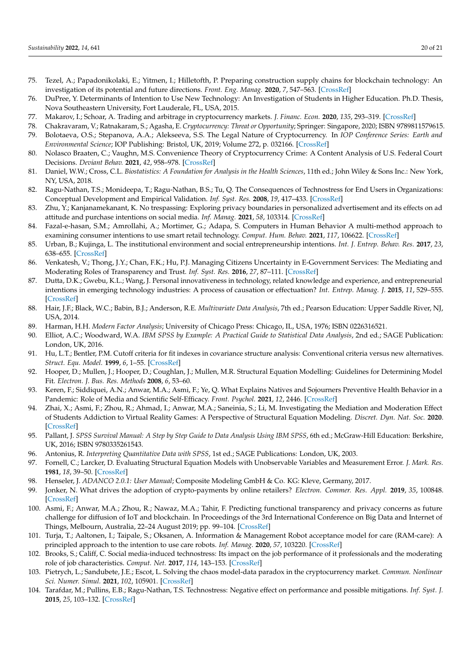- <span id="page-20-0"></span>75. Tezel, A.; Papadonikolaki, E.; Yitmen, I.; Hilletofth, P. Preparing construction supply chains for blockchain technology: An investigation of its potential and future directions. *Front. Eng. Manag.* **2020**, *7*, 547–563. [\[CrossRef\]](http://doi.org/10.1007/s42524-020-0110-8)
- <span id="page-20-1"></span>76. DuPree, Y. Determinants of Intention to Use New Technology: An Investigation of Students in Higher Education. Ph.D. Thesis, Nova Southeastern University, Fort Lauderale, FL, USA, 2015.
- <span id="page-20-2"></span>77. Makarov, I.; Schoar, A. Trading and arbitrage in cryptocurrency markets. *J. Financ. Econ.* **2020**, *135*, 293–319. [\[CrossRef\]](http://doi.org/10.1016/j.jfineco.2019.07.001)
- <span id="page-20-3"></span>78. Chakravaram, V.; Ratnakaram, S.; Agasha, E. *Cryptocurrency: Threat or Opportunity*; Springer: Singapore, 2020; ISBN 9789811579615.
- <span id="page-20-4"></span>79. Bolotaeva, O.S.; Stepanova, A.A.; Alekseeva, S.S. The Legal Nature of Cryptocurrency. In *IOP Conference Series: Earth and Environmental Science*; IOP Publishing: Bristol, UK, 2019; Volume 272, p. 032166. [\[CrossRef\]](http://doi.org/10.1088/1755-1315/272/3/032166)
- <span id="page-20-5"></span>80. Nolasco Braaten, C.; Vaughn, M.S. Convenience Theory of Cryptocurrency Crime: A Content Analysis of U.S. Federal Court Decisions. *Deviant Behav.* **2021**, *42*, 958–978. [\[CrossRef\]](http://doi.org/10.1080/01639625.2019.1706706)
- <span id="page-20-6"></span>81. Daniel, W.W.; Cross, C.L. *Biostatistics: A Foundation for Analysis in the Health Sciences*, 11th ed.; John Wiley & Sons Inc.: New York, NY, USA, 2018.
- <span id="page-20-7"></span>82. Ragu-Nathan, T.S.; Monideepa, T.; Ragu-Nathan, B.S.; Tu, Q. The Consequences of Technostress for End Users in Organizations: Conceptual Development and Empirical Validation. *Inf. Syst. Res.* **2008**, *19*, 417–433. [\[CrossRef\]](http://doi.org/10.1287/isre.1070.0165)
- <span id="page-20-8"></span>83. Zhu, Y.; Kanjanamekanant, K. No trespassing: Exploring privacy boundaries in personalized advertisement and its effects on ad attitude and purchase intentions on social media. *Inf. Manag.* **2021**, *58*, 103314. [\[CrossRef\]](http://doi.org/10.1016/j.im.2020.103314)
- <span id="page-20-9"></span>84. Fazal-e-hasan, S.M.; Amrollahi, A.; Mortimer, G.; Adapa, S. Computers in Human Behavior A multi-method approach to examining consumer intentions to use smart retail technology. *Comput. Hum. Behav.* **2021**, *117*, 106622. [\[CrossRef\]](http://doi.org/10.1016/j.chb.2020.106622)
- <span id="page-20-10"></span>85. Urban, B.; Kujinga, L. The institutional environment and social entrepreneurship intentions. *Int. J. Entrep. Behav. Res.* **2017**, *23*, 638–655. [\[CrossRef\]](http://doi.org/10.1108/IJEBR-07-2016-0218)
- <span id="page-20-11"></span>86. Venkatesh, V.; Thong, J.Y.; Chan, F.K.; Hu, P.J. Managing Citizens Uncertainty in E-Government Services: The Mediating and Moderating Roles of Transparency and Trust. *Inf. Syst. Res.* **2016**, *27*, 87–111. [\[CrossRef\]](http://doi.org/10.1287/isre.2015.0612)
- <span id="page-20-12"></span>87. Dutta, D.K.; Gwebu, K.L.; Wang, J. Personal innovativeness in technology, related knowledge and experience, and entrepreneurial intentions in emerging technology industries: A process of causation or effectuation? *Int. Entrep. Manag. J.* **2015**, *11*, 529–555. [\[CrossRef\]](http://doi.org/10.1007/s11365-013-0287-y)
- <span id="page-20-13"></span>88. Hair, J.F.; Black, W.C.; Babin, B.J.; Anderson, R.E. *Multivariate Data Analysis*, 7th ed.; Pearson Education: Upper Saddle River, NJ, USA, 2014.
- <span id="page-20-14"></span>89. Harman, H.H. *Modern Factor Analysis*; University of Chicago Press: Chicago, IL, USA, 1976; ISBN 0226316521.
- <span id="page-20-15"></span>90. Elliot, A.C.; Woodward, W.A. *IBM SPSS by Example: A Practical Guide to Statistical Data Analysis*, 2nd ed.; SAGE Publication: London, UK, 2016.
- <span id="page-20-16"></span>91. Hu, L.T.; Bentler, P.M. Cutoff criteria for fit indexes in covariance structure analysis: Conventional criteria versus new alternatives. *Struct. Equ. Model.* **1999**, *6*, 1–55. [\[CrossRef\]](http://doi.org/10.1080/10705519909540118)
- <span id="page-20-17"></span>92. Hooper, D.; Mullen, J.; Hooper, D.; Coughlan, J.; Mullen, M.R. Structural Equation Modelling: Guidelines for Determining Model Fit. *Electron. J. Bus. Res. Methods* **2008**, *6*, 53–60.
- <span id="page-20-18"></span>93. Keren, F.; Siddiquei, A.N.; Anwar, M.A.; Asmi, F.; Ye, Q. What Explains Natives and Sojourners Preventive Health Behavior in a Pandemic: Role of Media and Scientific Self-Efficacy. *Front. Psychol.* **2021**, *12*, 2446. [\[CrossRef\]](http://doi.org/10.3389/fpsyg.2021.664399)
- <span id="page-20-19"></span>94. Zhai, X.; Asmi, F.; Zhou, R.; Ahmad, I.; Anwar, M.A.; Saneinia, S.; Li, M. Investigating the Mediation and Moderation Effect of Students Addiction to Virtual Reality Games: A Perspective of Structural Equation Modeling. *Discret. Dyn. Nat. Soc.* **2020**. [\[CrossRef\]](http://doi.org/10.1155/2020/5714546)
- <span id="page-20-20"></span>95. Pallant, J. SPSS Survival Manual: A Step by Step Guide to Data Analysis Using IBM SPSS, 6th ed.; McGraw-Hill Education: Berkshire, UK, 2016; ISBN 9780335261543.
- <span id="page-20-21"></span>96. Antonius, R. *Interpreting Quantitative Data with SPSS*, 1st ed.; SAGE Publications: London, UK, 2003.
- <span id="page-20-22"></span>97. Fornell, C.; Larcker, D. Evaluating Structural Equation Models with Unobservable Variables and Measurement Error. *J. Mark. Res.* **1981**, *18*, 39–50. [\[CrossRef\]](http://doi.org/10.1177/002224378101800104)
- <span id="page-20-23"></span>98. Henseler, J. *ADANCO 2.0.1: User Manual*; Composite Modeling GmbH & Co. KG: Kleve, Germany, 2017.
- <span id="page-20-24"></span>99. Jonker, N. What drives the adoption of crypto-payments by online retailers? *Electron. Commer. Res. Appl.* **2019**, *35*, 100848. [\[CrossRef\]](http://doi.org/10.1016/j.elerap.2019.100848)
- <span id="page-20-25"></span>100. Asmi, F.; Anwar, M.A.; Zhou, R.; Nawaz, M.A.; Tahir, F. Predicting functional transparency and privacy concerns as future challenge for diffusion of IoT and blockchain. In Proceedings of the 3rd International Conference on Big Data and Internet of Things, Melbourn, Australia, 22–24 August 2019; pp. 99–104. [\[CrossRef\]](http://doi.org/10.1145/3361758.3361770)
- <span id="page-20-26"></span>101. Turja, T.; Aaltonen, I.; Taipale, S.; Oksanen, A. Information & Management Robot acceptance model for care (RAM-care): A principled approach to the intention to use care robots. *Inf. Manag.* **2020**, *57*, 103220. [\[CrossRef\]](http://doi.org/10.1016/j.im.2019.103220)
- <span id="page-20-27"></span>102. Brooks, S.; Califf, C. Social media-induced technostress: Its impact on the job performance of it professionals and the moderating role of job characteristics. *Comput. Net.* **2017**, *114*, 143–153. [\[CrossRef\]](http://doi.org/10.1016/j.comnet.2016.08.020)
- <span id="page-20-28"></span>103. Pietrych, L.; Sandubete, J.E.; Escot, L. Solving the chaos model-data paradox in the cryptocurrency market. *Commun. Nonlinear Sci. Numer. Simul.* **2021**, *102*, 105901. [\[CrossRef\]](http://doi.org/10.1016/j.cnsns.2021.105901)
- <span id="page-20-29"></span>104. Tarafdar, M.; Pullins, E.B.; Ragu-Nathan, T.S. Technostress: Negative effect on performance and possible mitigations. *Inf. Syst. J.* **2015**, *25*, 103–132. [\[CrossRef\]](http://doi.org/10.1111/isj.12042)